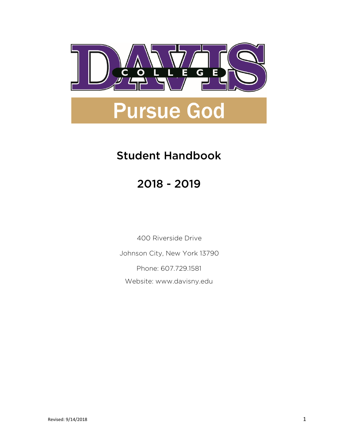

# Student Handbook

# 2018 - 2019

400 Riverside Drive

Johnson City, New York 13790

Phone: 607.729.1581

Website: www.davisny.edu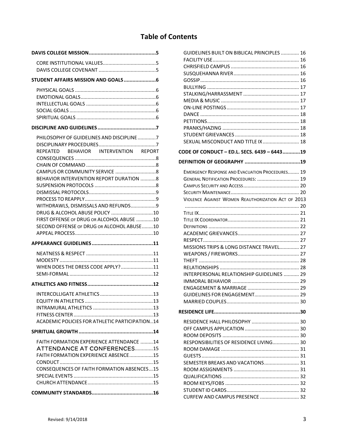# **Table of Contents**

| PHILOSOPHY OF GUIDELINES AND DISCIPLINE 7<br>REPEATED BEHAVIOR INTERVENTION REPORT<br><b>BEHAVIOR INTERVENTION REPORT DURATION 8</b><br>WITHDRAWLS, DISMISSALS AND REFUNDS9<br>DRUG & ALCOHOL ABUSE POLICY 10 |
|---------------------------------------------------------------------------------------------------------------------------------------------------------------------------------------------------------------|
| FIRST OFFENSE OF DRUG OR ALCOHOL ABUSE 10<br>SECOND OFFENSE OF DRUG OR ALCOHOL ABUSE10                                                                                                                        |
|                                                                                                                                                                                                               |
| WHEN DOES THE DRESS CODE APPLY?11                                                                                                                                                                             |
|                                                                                                                                                                                                               |
| ACADEMIC POLICIES FOR ATHLETIC PARTICIPATION14                                                                                                                                                                |
|                                                                                                                                                                                                               |
| FAITH FORMATION EXPERIENCE ATTENDANCE 14<br><b>ATTENDANCE AT CONFERENCES15</b><br><b>FAITH FORMATION EXPERIENCE ABSENCE15</b><br><b>CONSEQUENCES OF FAITH FORMATION ABSENCES15</b>                            |
|                                                                                                                                                                                                               |

| SEXUAL MISCONDUCT AND TITLE IX  18                                                                                                                                                                                                            |  |
|-----------------------------------------------------------------------------------------------------------------------------------------------------------------------------------------------------------------------------------------------|--|
| CODE OF CONDUCT - ED.L. SECS. 6439 - 644319                                                                                                                                                                                                   |  |
|                                                                                                                                                                                                                                               |  |
| <b>EMERGENCY RESPONSE AND EVACUATION PROCEDURES 19</b><br>GENERAL NOTIFICATION PROCEDURES:  19<br>VIOLENCE AGAINST WOMEN REAUTHORIZATION ACT OF 2013<br>MISSIONS TRIPS & LONG DISTANCE TRAVEL 27<br>INTERPERSONAL RELATIONSHIP GUIDELINES  29 |  |
|                                                                                                                                                                                                                                               |  |
| RESPONSIBILITIES OF RESIDENCE LIVING 30<br>SEMESTER BREAKS AND VACATIONS 31<br>CURFEW AND CAMPUS PRESENCE  32                                                                                                                                 |  |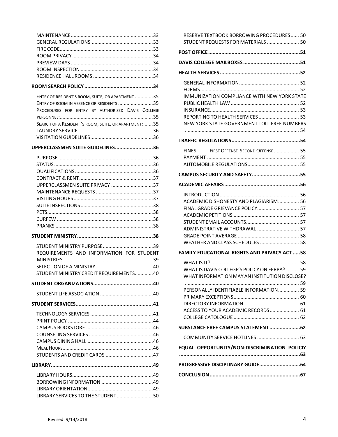| ENTRY OF RESIDENT'S ROOM, SUITE, OR APARTMENT 35     |  |
|------------------------------------------------------|--|
| ENTRY OF ROOM IN ABSENCE OR RESIDENTS 35             |  |
| PROCEDURES FOR ENTRY BY AUTHORIZED DAVIS COLLEGE     |  |
|                                                      |  |
| SEARCH OF A RESIDENT 'S ROOM, SUITE, OR APARTMENT:35 |  |
|                                                      |  |
|                                                      |  |

|  |  | UPPERCLASSMEN SUITE GUIDELINES36 |
|--|--|----------------------------------|
|  |  |                                  |

| UPPERCLASSMEN SUITE PRIVACY 37 |  |
|--------------------------------|--|
|                                |  |
|                                |  |
|                                |  |
|                                |  |
|                                |  |
|                                |  |
|                                |  |

**STUDENT MINISTRY .................................................... 38**

| STUDENT MINISTRY CREDIT REQUIREMENTS40   |  |
|------------------------------------------|--|
|                                          |  |
|                                          |  |
| REQUIREMENTS AND INFORMATION FOR STUDENT |  |
|                                          |  |
|                                          |  |

| STUDENTS AND CREDIT CARDS 47 |  |
|------------------------------|--|
|                              |  |
|                              |  |
|                              |  |
|                              |  |
|                              |  |

LIBRARY SERVICES TO THE STUDENT .......................... 50

| RESERVE TEXTBOOK BORROWING PROCEDURES 50<br>STUDENT REQUESTS FOR MATERIALS  50                                                               |  |
|----------------------------------------------------------------------------------------------------------------------------------------------|--|
|                                                                                                                                              |  |
|                                                                                                                                              |  |
|                                                                                                                                              |  |
| <b>IMMUNIZATION COMPLIANCE WITH NEW YORK STATE</b><br>REPORTING TO HEALTH SERVICES  53<br>NEW YORK STATE GOVERNMENT TOLL FREE NUMBERS        |  |
|                                                                                                                                              |  |
| FINES FIRST OFFENSE SECOND OFFENSE  55                                                                                                       |  |
| CAMPUS SECURITY AND SAFETY55                                                                                                                 |  |
|                                                                                                                                              |  |
| ACADEMIC DISHONESTY AND PLAGIARISM 56<br>FINAL GRADE GRIEVANCE POLICY 57<br>ADMINISTRATIVE WITHDRAWAL  57<br>WEATHER AND CLASS SCHEDULES  58 |  |
| <b>FAMILY EDUCATIONAL RIGHTS AND PRIVACY ACT 58</b>                                                                                          |  |
| WHAT IS DAVIS COLLEGE'S POLICY ON FERPA?  59<br>WHAT INFORMATION MAY AN INSTITUTION DISCLOSE?                                                |  |
| PERSONALLY IDENTIFIABLE INFORMATION 59<br>ACCESS TO YOUR ACADEMIC RECORDS 61                                                                 |  |
| SUBSTANCE FREE CAMPUS STATEMENT62                                                                                                            |  |
| COMMUNITY SERVICE HOTLINES  63                                                                                                               |  |
| EQUAL OPPORTUNITY/NON-DISCRIMINATION POLICIY                                                                                                 |  |
| PROGRESSIVE DISCIPLINARY GUIDE64                                                                                                             |  |
|                                                                                                                                              |  |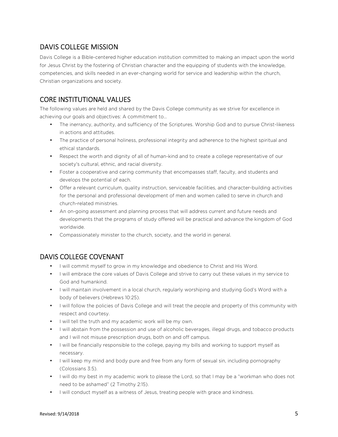# DAVIS COLLEGE MISSION

Davis College is a Bible-centered higher education institution committed to making an impact upon the world for Jesus Christ by the fostering of Christian character and the equipping of students with the knowledge, competencies, and skills needed in an ever-changing world for service and leadership within the church, Christian organizations and society.

# CORE INSTITUTIONAL VALUES

The following values are held and shared by the Davis College community as we strive for excellence in achieving our goals and objectives: A commitment to…

- The inerrancy, authority, and sufficiency of the Scriptures. Worship God and to pursue Christ-likeness in actions and attitudes.
- The practice of personal holiness, professional integrity and adherence to the highest spiritual and ethical standards.
- Respect the worth and dignity of all of human-kind and to create a college representative of our society's cultural, ethnic, and racial diversity.
- Foster a cooperative and caring community that encompasses staff, faculty, and students and develops the potential of each.
- Offer a relevant curriculum, quality instruction, serviceable facilities, and character-building activities for the personal and professional development of men and women called to serve in church and church-related ministries.
- An on-going assessment and planning process that will address current and future needs and developments that the programs of study offered will be practical and advance the kingdom of God worldwide.
- Compassionately minister to the church, society, and the world in general.

# DAVIS COLLEGE COVENANT

- I will commit myself to grow in my knowledge and obedience to Christ and His Word.
- I will embrace the core values of Davis College and strive to carry out these values in my service to God and humankind.
- I will maintain involvement in a local church, regularly worshiping and studying God's Word with a body of believers (Hebrews 10:25).
- I will follow the policies of Davis College and will treat the people and property of this community with respect and courtesy.
- I will tell the truth and my academic work will be my own.
- I will abstain from the possession and use of alcoholic beverages, illegal drugs, and tobacco products and I will not misuse prescription drugs, both on and off campus.
- I will be financially responsible to the college, paying my bills and working to support myself as necessary.
- I will keep my mind and body pure and free from any form of sexual sin, including pornography (Colossians 3:5).
- I will do my best in my academic work to please the Lord, so that I may be a "workman who does not need to be ashamed" (2 Timothy 2:15).
- I will conduct myself as a witness of Jesus, treating people with grace and kindness.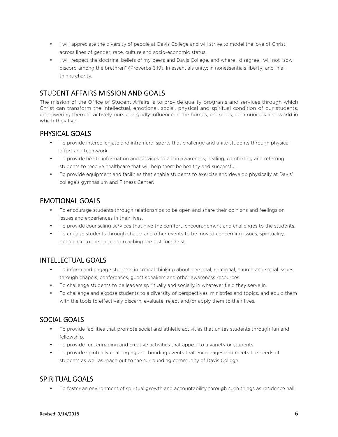- I will appreciate the diversity of people at Davis College and will strive to model the love of Christ across lines of gender, race, culture and socio-economic status.
- I will respect the doctrinal beliefs of my peers and Davis College, and where I disagree I will not "sow discord among the brethren" (Proverbs 6:19). In essentials unity; in nonessentials liberty; and in all things charity.

# STUDENT AFFAIRS MISSION AND GOALS

The mission of the Office of Student Affairs is to provide quality programs and services through which Christ can transform the intellectual, emotional, social, physical and spiritual condition of our students, empowering them to actively pursue a godly influence in the homes, churches, communities and world in which they live.

### PHYSICAL GOALS

- To provide intercollegiate and intramural sports that challenge and unite students through physical effort and teamwork.
- To provide health information and services to aid in awareness, healing, comforting and referring students to receive healthcare that will help them be healthy and successful.
- To provide equipment and facilities that enable students to exercise and develop physically at Davis' college's gymnasium and Fitness Center.

# EMOTIONAL GOALS

- To encourage students through relationships to be open and share their opinions and feelings on issues and experiences in their lives.
- To provide counseling services that give the comfort, encouragement and challenges to the students.
- To engage students through chapel and other events to be moved concerning issues, spirituality, obedience to the Lord and reaching the lost for Christ.

### INTELLECTUAL GOALS

- To inform and engage students in critical thinking about personal, relational, church and social issues through chapels, conferences, guest speakers and other awareness resources.
- To challenge students to be leaders spiritually and socially in whatever field they serve in.
- To challenge and expose students to a diversity of perspectives, ministries and topics, and equip them with the tools to effectively discern, evaluate, reject and/or apply them to their lives.

### SOCIAL GOALS

- To provide facilities that promote social and athletic activities that unites students through fun and fellowship.
- To provide fun, engaging and creative activities that appeal to a variety or students.
- To provide spiritually challenging and bonding events that encourages and meets the needs of students as well as reach out to the surrounding community of Davis College.

### SPIRITUAL GOALS

• To foster an environment of spiritual growth and accountability through such things as residence hall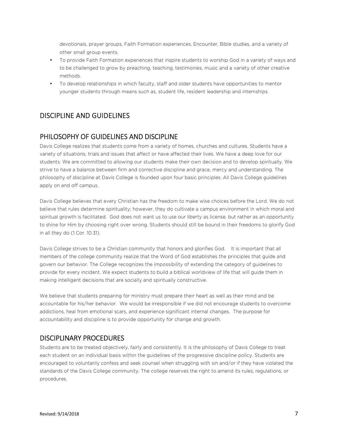devotionals, prayer groups, Faith Formation experiences, Encounter, Bible studies, and a variety of other small group events.

- To provide Faith Formation experiences that inspire students to worship God in a variety of ways and to be challenged to grow by preaching, teaching, testimonies, music and a variety of other creative methods.
- To develop relationships in which faculty, staff and older students have opportunities to mentor younger students through means such as, student life, resident leadership and internships.

### DISCIPLINE AND GUIDELINES

#### PHILOSOPHY OF GUIDELINES AND DISCIPLINE

Davis College realizes that students come from a variety of homes, churches and cultures. Students have a variety of situations, trials and issues that affect or have affected their lives. We have a deep love for our students. We are committed to allowing our students make their own decision and to develop spiritually. We strive to have a balance between firm and corrective discipline and grace, mercy and understanding. The philosophy of discipline at Davis College is founded upon four basic principles. All Davis College guidelines apply on and off campus.

Davis College believes that every Christian has the freedom to make wise choices before the Lord. We do not believe that rules determine spirituality; however, they do cultivate a campus environment in which moral and spiritual growth is facilitated. God does not want us to use our liberty as license, but rather as an opportunity to shine for Him by choosing right over wrong. Students should still be bound in their freedoms to glorify God in all they do (1 Cor. 10.31).

Davis College strives to be a Christian community that honors and glorifies God. It is important that all members of the college community realize that the Word of God establishes the principles that guide and govern our behavior. The College recognizes the impossibility of extending the category of guidelines to provide for every incident. We expect students to build a biblical worldview of life that will guide them in making intelligent decisions that are socially and spiritually constructive.

We believe that students preparing for ministry must prepare their heart as well as their mind and be accountable for his/her behavior. We would be irresponsible if we did not encourage students to overcome addictions, heal from emotional scars, and experience significant internal changes. The purpose for accountability and discipline is to provide opportunity for change and growth.

#### DISCIPLINARY PROCEDURES

Students are to be treated objectively, fairly and consistently. It is the philosophy of Davis College to treat each student on an individual basis within the guidelines of the progressive discipline policy. Students are encouraged to voluntarily confess and seek counsel when struggling with sin and/or if they have violated the standards of the Davis College community. The college reserves the right to amend its rules, regulations, or procedures.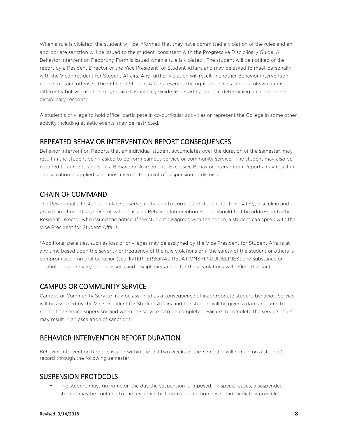When a rule is violated, the student will be informed that they have committed a violation of the rules and an appropriate sanction will be issued to the student, consistent with the Progressive Disciplinary Guide. A Behavior Intervention Reporting Form is issued when a rule is violated. The student will be notified of the report by a Resident Director or the Vice President for Student Affairs and may be asked to meet personally with the Vice President for Student Affairs. Any further violation will result in another Behavior Intervention notice for each offense. The Office of Student Affairs reserves the right to address serious rule violations differently but will use the Progressive Disciplinary Guide as a starting point in determining an appropriate disciplinary response.

A student's privilege to hold office, participate in co-curricular activities or represent the College in some other activity including athletic events, may be restricted.

#### REPEATED BEHAVIOR INTERVENTION REPORT CONSEQUENCES

Behavior Intervention Reports that an individual student accumulates over the duration of the semester, may result in the student being asked to perform campus service or community service. The student may also be required to agree to and sign a Behavioral Agreement. Excessive Behavior Intervention Reports may result in an escalation in applied sanctions, even to the point of suspension or dismissal.

### CHAIN OF COMMAND

The Residential Life staff is in place to serve, edify, and to correct the student for their safety, discipline and growth in Christ. Disagreement with an issued Behavior Intervention Report should first be addressed to the Resident Director who issued the notice. If the student disagrees with the notice, a student can speak with the Vice President for Student Affairs.

\*Additional penalties, such as loss of privileges may be assigned by the Vice President for Student Affairs at any time based upon the severity or frequency of the rule violations or if the safety of the student or others is compromised. Immoral behavior (see: INTERPERSONAL RELATIONSHIP GUIDELINES) and substance or alcohol abuse are very serious issues and disciplinary action for these violations will reflect that fact.

### CAMPUS OR COMMUNITY SERVICE

Campus or Community Service may be assigned as a consequence of inappropriate student behavior. Service will be assigned by the Vice President for Student Affairs and the student will be given a date and time to report to a service supervisor and when the service is to be completed. Failure to complete the service hours may result in an escalation of sanctions.

# BEHAVIOR INTERVENTION REPORT DURATION

Behavior Intervention Reports issued within the last two weeks of the Semester will remain on a student's record through the following semester.

#### SUSPENSION PROTOCOLS

The student must go home on the day the suspension is imposed. In special cases, a suspended student may be confined to the residence hall room if going home is not immediately possible.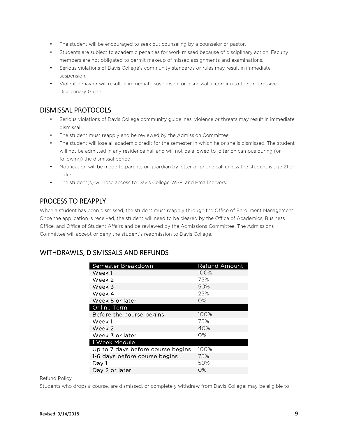- The student will be encouraged to seek out counseling by a counselor or pastor.
- Students are subject to academic penalties for work missed because of disciplinary action. Faculty members are not obligated to permit makeup of missed assignments and examinations.
- Serious violations of Davis College's community standards or rules may result in immediate suspension.
- Violent behavior will result in immediate suspension or dismissal according to the Progressive Disciplinary Guide.

# DISMISSAL PROTOCOLS

- Serious violations of Davis College community guidelines, violence or threats may result in immediate dismissal.
- The student must reapply and be reviewed by the Admission Committee.
- The student will lose all academic credit for the semester in which he or she is dismissed. The student will not be admitted in any residence hall and will not be allowed to loiter on campus during (or following) the dismissal period.
- Notification will be made to parents or guardian by letter or phone call unless the student is age 21 or older.
- The student(s) will lose access to Davis College Wi-Fi and Email servers.

# PROCESS TO REAPPLY

When a student has been dismissed, the student must reapply through the Office of Enrollment Management. Once the application is received, the student will need to be cleared by the Office of Academics, Business Office, and Office of Student Affairs and be reviewed by the Admissions Committee. The Admissions Committee will accept or deny the student's readmission to Davis College.

# WITHDRAWLS, DISMISSALS AND REFUNDS

| Semester Breakdown                | <b>Refund Amount</b> |
|-----------------------------------|----------------------|
| Week 1                            | 100%                 |
| Week 2                            | 75%                  |
| Week 3                            | 50%                  |
| Week 4                            | 25%                  |
| Week 5 or later                   | $O\%$                |
| <b>Online Term</b>                |                      |
| Before the course begins          | 100%                 |
| Week 1                            | 75%                  |
| Week 2                            | 40%                  |
| Week 3 or later                   | O%                   |
| 1 Week Module                     |                      |
| Up to 7 days before course begins | 100%                 |
| 1-6 days before course begins     | 75%                  |
| Day 1                             | 50%                  |
| Day 2 or later                    | О%                   |

Refund Policy

Students who drops a course, are dismissed, or completely withdraw from Davis College; may be eligible to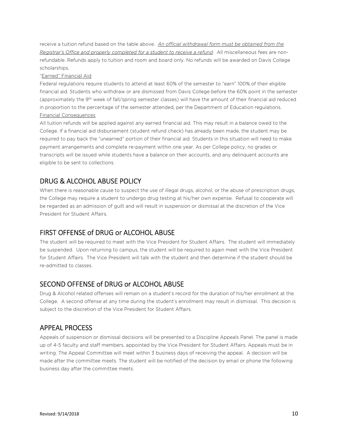receive a tuition refund based on the table above. *An official withdrawal form must be obtained from the Registrar's Office and properly completed for a student to receive a refund*. All miscellaneous fees are nonrefundable. Refunds apply to tuition and room and board only. No refunds will be awarded on Davis College scholarships.

#### "Earned" Financial Aid

Federal regulations require students to attend at least 60% of the semester to "earn" 100% of their eligible financial aid. Students who withdraw or are dismissed from Davis College before the 60% point in the semester (approximately the 9th week of fall/spring semester classes) will have the amount of their financial aid reduced in proportion to the percentage of the semester attended, per the Department of Education regulations. Financial Consequences

All tuition refunds will be applied against any earned financial aid. This may result in a balance owed to the College. If a financial aid disbursement (student refund check) has already been made, the student may be required to pay back the "unearned" portion of their financial aid. Students in this situation will need to make payment arrangements and complete re-payment within one year. As per College policy, no grades or transcripts will be issued while students have a balance on their accounts, and any delinquent accounts are eligible to be sent to collections.

# DRUG & ALCOHOL ABUSE POLICY

When there is reasonable cause to suspect the use of illegal drugs, alcohol, or the abuse of prescription drugs, the College may require a student to undergo drug testing at his/her own expense. Refusal to cooperate will be regarded as an admission of guilt and will result in suspension or dismissal at the discretion of the Vice President for Student Affairs.

### FIRST OFFENSE of DRUG or ALCOHOL ABUSE

The student will be required to meet with the Vice President for Student Affairs. The student will immediately be suspended. Upon returning to campus, the student will be required to again meet with the Vice President for Student Affairs. The Vice President will talk with the student and then determine if the student should be re-admitted to classes.

### SECOND OFFENSE of DRUG or ALCOHOL ABUSE

Drug & Alcohol related offenses will remain on a student's record for the duration of his/her enrollment at the College. A second offense at any time during the student's enrollment may result in dismissal. This decision is subject to the discretion of the Vice President for Student Affairs.

### APPEAL PROCESS

Appeals of suspension or dismissal decisions will be presented to a Discipline Appeals Panel. The panel is made up of 4-5 faculty and staff members, appointed by the Vice President for Student Affairs. Appeals must be in writing. The Appeal Committee will meet within 3 business days of receiving the appeal. A decision will be made after the committee meets. The student will be notified of the decision by email or phone the following business day after the committee meets.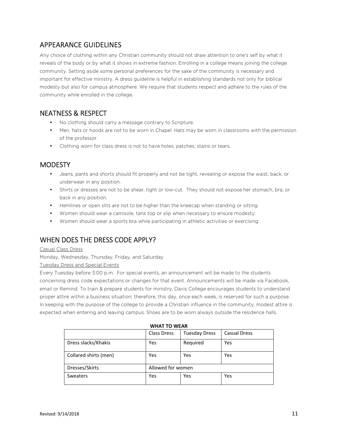# APPEARANCE GUIDELINES

Any choice of clothing within any Christian community should not draw attention to one's self by what it reveals of the body or by what it shows in extreme fashion. Enrolling in a college means joining the college community. Setting aside some personal preferences for the sake of the community is necessary and important for effective ministry. A dress guideline is helpful in establishing standards not only for biblical modesty but also for campus atmosphere. We require that students respect and adhere to the rules of the community while enrolled in the college.

# NEATNESS & RESPECT

- No clothing should carry a message contrary to Scripture.
- Men, hats or hoods are not to be worn in Chapel. Hats may be worn in classrooms with the permission of the professor.
- Clothing worn for class dress is not to have holes, patches, stains or tears.

# **MODESTY**

- Jeans, pants and shorts should fit properly and not be tight, revealing or expose the waist, back, or underwear in any position.
- Shirts or dresses are not to be shear, tight or low-cut. They should not expose her stomach, bra, or back in any position.
- Hemlines or open slits are not to be higher than the kneecap when standing or sitting
- Women should wear a camisole, tank top or slip when necessary to ensure modesty.
- Women should wear a sports bra while participating in athletic activities or exercising.

# WHEN DOES THE DRESS CODE APPLY?

#### Casual Class Dress

Monday, Wednesday, Thursday, Friday, and Saturday

#### Tuesday Dress and Special Events

Every Tuesday before 3:00 p.m. For special events, an announcement will be made to the students concerning dress code expectations or changes for that event. Announcements will be made via Facebook, email or Remind. To train & prepare students for ministry, Davis College encourages students to understand proper attire within a business situation; therefore, this day, once each week, is reserved for such a purpose. In keeping with the purpose of the college to provide a Christian influence in the community, modest attire is expected when entering and leaving campus. Shoes are to be worn always outside the residence halls.

| WHAI IV WLAI          |                    |                      |                     |  |
|-----------------------|--------------------|----------------------|---------------------|--|
|                       | <b>Class Dress</b> | <b>Tuesday Dress</b> | <b>Casual Dress</b> |  |
| Dress slacks/Khakis   | Yes                | Required             | Yes                 |  |
| Collared shirts (men) | Yes                | Yes                  | Yes                 |  |
| Dresses/Skirts        | Allowed for women  |                      |                     |  |
| Sweaters              | Yes                | Yes                  | Yes                 |  |

#### **WHAT TO WEAR**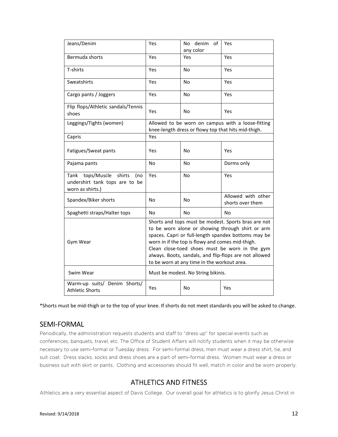| Jeans/Denim                                                                                | Yes                                                                                                                                                                                                                                                                                                                                                                           | denim<br>οf<br>No<br>any color | Yes                                    |  |
|--------------------------------------------------------------------------------------------|-------------------------------------------------------------------------------------------------------------------------------------------------------------------------------------------------------------------------------------------------------------------------------------------------------------------------------------------------------------------------------|--------------------------------|----------------------------------------|--|
| Bermuda shorts                                                                             | Yes                                                                                                                                                                                                                                                                                                                                                                           | Yes                            | Yes                                    |  |
| T-shirts                                                                                   | Yes                                                                                                                                                                                                                                                                                                                                                                           | No                             | Yes                                    |  |
| Sweatshirts                                                                                | Yes                                                                                                                                                                                                                                                                                                                                                                           | No                             | Yes                                    |  |
| Cargo pants / Joggers                                                                      | Yes                                                                                                                                                                                                                                                                                                                                                                           | No                             | Yes                                    |  |
| Flip flops/Athletic sandals/Tennis<br>shoes                                                | Yes                                                                                                                                                                                                                                                                                                                                                                           | No                             | Yes                                    |  |
| Leggings/Tights (women)                                                                    | Allowed to be worn on campus with a loose-fitting<br>knee-length dress or flowy top that hits mid-thigh.                                                                                                                                                                                                                                                                      |                                |                                        |  |
| Capris                                                                                     | Yes                                                                                                                                                                                                                                                                                                                                                                           |                                |                                        |  |
| Fatigues/Sweat pants                                                                       | Yes                                                                                                                                                                                                                                                                                                                                                                           | No                             | Yes                                    |  |
| Pajama pants                                                                               | No                                                                                                                                                                                                                                                                                                                                                                            | No                             | Dorms only                             |  |
| tops/Muscle<br>shirts<br>Tank<br>(no<br>undershirt tank tops are to be<br>worn as shirts.) | Yes                                                                                                                                                                                                                                                                                                                                                                           | No                             | Yes                                    |  |
| Spandex/Biker shorts                                                                       | No                                                                                                                                                                                                                                                                                                                                                                            | No                             | Allowed with other<br>shorts over them |  |
| Spaghetti straps/Halter tops                                                               | No                                                                                                                                                                                                                                                                                                                                                                            | Nο                             | No                                     |  |
| Gym Wear                                                                                   | Shorts and tops must be modest. Sports bras are not<br>to be worn alone or showing through shirt or arm<br>spaces. Capri or full-length spandex bottoms may be<br>worn in if the top is flowy and comes mid-thigh.<br>Clean close-toed shoes must be worn in the gym<br>always. Boots, sandals, and flip-flops are not allowed<br>to be worn at any time in the workout area. |                                |                                        |  |
| Swim Wear                                                                                  | Must be modest. No String bikinis.                                                                                                                                                                                                                                                                                                                                            |                                |                                        |  |
| Warm-up suits/ Denim Shorts/<br><b>Athletic Shorts</b>                                     | Yes                                                                                                                                                                                                                                                                                                                                                                           | <b>No</b>                      | Yes                                    |  |

\*Shorts must be mid-thigh or to the top of your knee. If shorts do not meet standards you will be asked to change.

### SEMI-FORMAL

Periodically, the administration requests students and staff to "dress up" for special events such as conferences, banquets, travel, etc. The Office of Student Affairs will notify students when it may be otherwise necessary to use semi-formal or Tuesday dress. For semi-formal dress, men must wear a dress shirt, tie, and suit coat. Dress slacks, socks and dress shoes are a part of semi-formal dress. Women must wear a dress or business suit with skirt or pants. Clothing and accessories should fit well, match in color and be worn properly.

# ATHLETICS AND FITNESS

Athletics are a very essential aspect of Davis College. Our overall goal for athletics is to glorify Jesus Christ in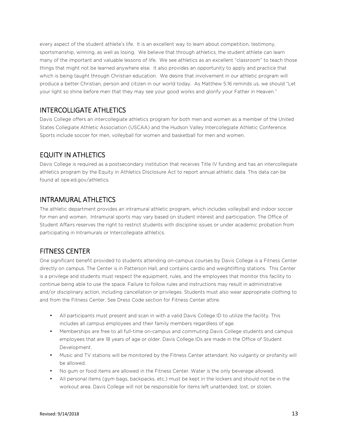every aspect of the student athlete's life. It is an excellent way to learn about competition, testimony, sportsmanship, winning, as well as losing. We believe that through athletics, the student athlete can learn many of the important and valuable lessons of life. We see athletics as an excellent "classroom" to teach those things that might not be learned anywhere else. It also provides an opportunity to apply and practice that which is being taught through Christian education. We desire that involvement in our athletic program will produce a better Christian, person and citizen in our world today. As Matthew 5:16 reminds us, we should "Let your light so shine before men that they may see your good works and glorify your Father in Heaven."

### INTERCOLLIGATE ATHLETICS

Davis College offers an intercollegiate athletics program for both men and women as a member of the United States Collegiate Athletic Association (USCAA) and the Hudson Valley Intercollegiate Athletic Conference. Sports include soccer for men, volleyball for women and basketball for men and women.

# EQUITY IN ATHLETICS

Davis College is required as a postsecondary institution that receives Title IV funding and has an intercollegiate athletics program by the Equity in Athletics Disclosure Act to report annual athletic data. This data can be found at ope.ed.gov/athletics.

#### INTRAMURAL ATHLETICS

The athletic department provides an intramural athletic program, which includes volleyball and indoor soccer for men and women. Intramural sports may vary based on student interest and participation. The Office of Student Affairs reserves the right to restrict students with discipline issues or under academic probation from participating in Intramurals or Intercollegiate athletics.

### FITNESS CENTER

One significant benefit provided to students attending on-campus courses by Davis College is a Fitness Center directly on campus. The Center is in Patterson Hall, and contains cardio and weightlifting stations. This Center is a privilege and students must respect the equipment, rules, and the employees that monitor this facility to continue being able to use the space. Failure to follow rules and instructions may result in administrative and/or disciplinary action, including cancellation or privileges. Students must also wear appropriate clothing to and from the Fitness Center. See Dress Code section for Fitness Center attire.

- All participants must present and scan in with a valid Davis College ID to utilize the facility. This includes all campus employees and their family members regardless of age.
- Memberships are free to all full-time on-campus and commuting Davis College students and campus employees that are 18 years of age or older. Davis College IDs are made in the Office of Student Development.
- Music and TV stations will be monitored by the Fitness Center attendant. No vulgarity or profanity will be allowed.
- No gum or food items are allowed in the Fitness Center. Water is the only beverage allowed.
- All personal items (gym bags, backpacks, etc.) must be kept in the lockers and should not be in the workout area. Davis College will not be responsible for items left unattended, lost, or stolen.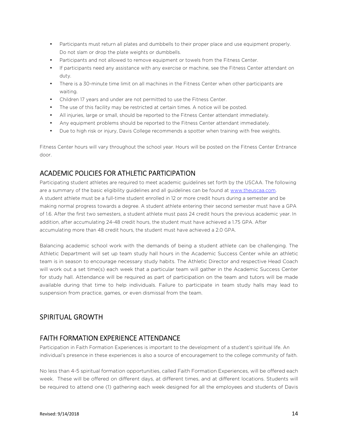- Participants must return all plates and dumbbells to their proper place and use equipment properly. Do not slam or drop the plate weights or dumbbells.
- Participants and not allowed to remove equipment or towels from the Fitness Center.
- If participants need any assistance with any exercise or machine, see the Fitness Center attendant on duty.
- There is a 30-minute time limit on all machines in the Fitness Center when other participants are waiting.
- Children 17 years and under are not permitted to use the Fitness Center.
- The use of this facility may be restricted at certain times. A notice will be posted.
- All injuries, large or small, should be reported to the Fitness Center attendant immediately.
- Any equipment problems should be reported to the Fitness Center attendant immediately.
- Due to high risk or injury, Davis College recommends a spotter when training with free weights.

Fitness Center hours will vary throughout the school year. Hours will be posted on the Fitness Center Entrance door.

#### ACADEMIC POLICIES FOR ATHLETIC PARTICIPATION

Participating student athletes are required to meet academic guidelines set forth by the USCAA. The following are a summary of the basic eligibility guidelines and all guidelines can be found at www.theuscaa.com. A student athlete must be a full-time student enrolled in 12 or more credit hours during a semester and be making normal progress towards a degree. A student athlete entering their second semester must have a GPA of 1.6. After the first two semesters, a student athlete must pass 24 credit hours the previous academic year. In addition, after accumulating 24-48 credit hours, the student must have achieved a 1.75 GPA. After accumulating more than 48 credit hours, the student must have achieved a 2.0 GPA.

Balancing academic school work with the demands of being a student athlete can be challenging. The Athletic Department will set up team study hall hours in the Academic Success Center while an athletic team is in season to encourage necessary study habits. The Athletic Director and respective Head Coach will work out a set time(s) each week that a particular team will gather in the Academic Success Center for study hall. Attendance will be required as part of participation on the team and tutors will be made available during that time to help individuals. Failure to participate in team study halls may lead to suspension from practice, games, or even dismissal from the team.

#### SPIRITUAL GROWTH

### FAITH FORMATION EXPERIENCE ATTENDANCE

Participation in Faith Formation Experiences is important to the development of a student's spiritual life. An individual's presence in these experiences is also a source of encouragement to the college community of faith.

No less than 4-5 spiritual formation opportunities, called Faith Formation Experiences, will be offered each week. These will be offered on different days, at different times, and at different locations. Students will be required to attend one (1) gathering each week designed for all the employees and students of Davis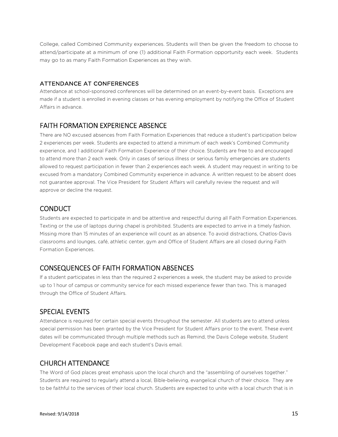College, called Combined Community experiences. Students will then be given the freedom to choose to attend/participate at a minimum of one (1) additional Faith Formation opportunity each week. Students may go to as many Faith Formation Experiences as they wish.

#### ATTENDANCE AT CONFERENCES

Attendance at school-sponsored conferences will be determined on an event-by-event basis. Exceptions are made if a student is enrolled in evening classes or has evening employment by notifying the Office of Student Affairs in advance.

### FAITH FORMATION EXPERIENCE ABSENCE

There are NO excused absences from Faith Formation Experiences that reduce a student's participation below 2 experiences per week. Students are expected to attend a minimum of each week's Combined Community experience, and 1 additional Faith Formation Experience of their choice. Students are free to and encouraged to attend more than 2 each week. Only in cases of serious illness or serious family emergencies are students allowed to request participation in fewer than 2 experiences each week. A student may request in writing to be excused from a mandatory Combined Community experience in advance. A written request to be absent does not guarantee approval. The Vice President for Student Affairs will carefully review the request and will approve or decline the request.

#### **CONDUCT**

Students are expected to participate in and be attentive and respectful during all Faith Formation Experiences. Texting or the use of laptops during chapel is prohibited. Students are expected to arrive in a timely fashion. Missing more than 15 minutes of an experience will count as an absence. To avoid distractions, Chatlos-Davis classrooms and lounges, café, athletic center, gym and Office of Student Affairs are all closed during Faith Formation Experiences.

### CONSEQUENCES OF FAITH FORMATION ABSENCES

If a student participates in less than the required 2 experiences a week, the student may be asked to provide up to 1 hour of campus or community service for each missed experience fewer than two. This is managed through the Office of Student Affairs.

### SPECIAL EVENTS

Attendance is required for certain special events throughout the semester. All students are to attend unless special permission has been granted by the Vice President for Student Affairs prior to the event. These event dates will be communicated through multiple methods such as Remind, the Davis College website, Student Development Facebook page and each student's Davis email.

### CHURCH ATTENDANCE

The Word of God places great emphasis upon the local church and the "assembling of ourselves together." Students are required to regularly attend a local, Bible-believing, evangelical church of their choice. They are to be faithful to the services of their local church. Students are expected to unite with a local church that is in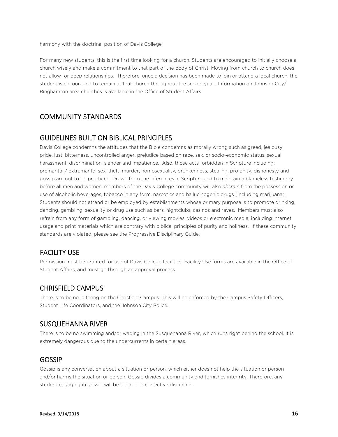harmony with the doctrinal position of Davis College.

For many new students, this is the first time looking for a church. Students are encouraged to initially choose a church wisely and make a commitment to that part of the body of Christ. Moving from church to church does not allow for deep relationships. Therefore, once a decision has been made to join or attend a local church, the student is encouraged to remain at that church throughout the school year. Information on Johnson City/ Binghamton area churches is available in the Office of Student Affairs.

# COMMUNITY STANDARDS

#### GUIDELINES BUILT ON BIBLICAL PRINCIPLES

Davis College condemns the attitudes that the Bible condemns as morally wrong such as greed, jealousy, pride, lust, bitterness, uncontrolled anger, prejudice based on race, sex, or socio-economic status, sexual harassment, discrimination, slander and impatience. Also, those acts forbidden in Scripture including: premarital / extramarital sex, theft, murder, homosexuality, drunkenness, stealing, profanity, dishonesty and gossip are not to be practiced. Drawn from the inferences in Scripture and to maintain a blameless testimony before all men and women, members of the Davis College community will also *abstain* from the possession or use of alcoholic beverages, tobacco in any form, narcotics and hallucinogenic drugs (including marijuana). Students should not attend or be employed by establishments whose primary purpose is to promote drinking, dancing, gambling, sexuality or drug use such as bars, nightclubs, casinos and raves. Members must also refrain from any form of gambling, dancing, or viewing movies, videos or electronic media, including internet usage and print materials which are contrary with biblical principles of purity and holiness. If these community standards are violated, please see the Progressive Disciplinary Guide.

# FACILITY USE

Permission must be granted for use of Davis College facilities. Facility Use forms are available in the Office of Student Affairs, and must go through an approval process.

#### CHRISFIELD CAMPUS

There is to be no loitering on the Chrisfield Campus. This will be enforced by the Campus Safety Officers, Student Life Coordinators, and the Johnson City Police.

#### SUSQUEHANNA RIVER

There is to be no swimming and/or wading in the Susquehanna River, which runs right behind the school. It is extremely dangerous due to the undercurrents in certain areas.

#### GOSSIP

Gossip is any conversation about a situation or person, which either does not help the situation or person and/or harms the situation or person. Gossip divides a community and tarnishes integrity. Therefore, any student engaging in gossip will be subject to corrective discipline.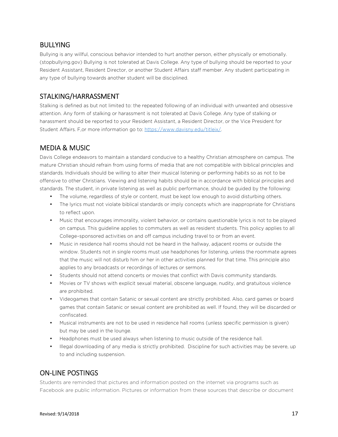#### BULLYING

Bullying is any willful, conscious behavior intended to hurt another person, either physically or emotionally. (stopbullying.gov) Bullying is not tolerated at Davis College. Any type of bullying should be reported to your Resident Assistant, Resident Director, or another Student Affairs staff member. Any student participating in any type of bullying towards another student will be disciplined.

# STALKING/HARRASSMENT

Stalking is defined as but not limited to: the repeated following of an individual with unwanted and obsessive attention. Any form of stalking or harassment is not tolerated at Davis College. Any type of stalking or harassment should be reported to your Resident Assistant, a Resident Director, or the Vice President for Student Affairs. F,or more information go to: https://www.davisny.edu/titleix/.

# MEDIA & MUSIC

Davis College endeavors to maintain a standard conducive to a healthy Christian atmosphere on campus. The mature Christian should refrain from using forms of media that are not compatible with biblical principles and standards. Individuals should be willing to alter their musical listening or performing habits so as not to be offensive to other Christians. Viewing and listening habits should be in accordance with biblical principles and standards. The student, in private listening as well as public performance, should be guided by the following:

- The volume, regardless of style or content, must be kept low enough to avoid disturbing others.
- The lyrics must not violate biblical standards or imply concepts which are inappropriate for Christians to reflect upon.
- Music that encourages immorality, violent behavior, or contains questionable lyrics is not to be played on campus. This guideline applies to commuters as well as resident students. This policy applies to all College–sponsored activities on and off campus including travel to or from an event.
- Music in residence hall rooms should not be heard in the hallway, adjacent rooms or outside the window. Students not in single rooms must use headphones for listening, unless the roommate agrees that the music will not disturb him or her in other activities planned for that time. This principle also applies to any broadcasts or recordings of lectures or sermons.
- Students should not attend concerts or movies that conflict with Davis community standards.
- Movies or TV shows with explicit sexual material, obscene language, nudity, and gratuitous violence are prohibited.
- Videogames that contain Satanic or sexual content are strictly prohibited. Also, card games or board games that contain Satanic or sexual content are prohibited as well. If found, they will be discarded or confiscated.
- Musical instruments are not to be used in residence hall rooms (unless specific permission is given) but may be used in the lounge.
- Headphones must be used always when listening to music outside of the residence hall.
- Illegal downloading of any media is strictly prohibited. Discipline for such activities may be severe, up to and including suspension.

# ON-LINE POSTINGS

Students are reminded that pictures and information posted on the internet via programs such as Facebook are public information. Pictures or information from these sources that describe or document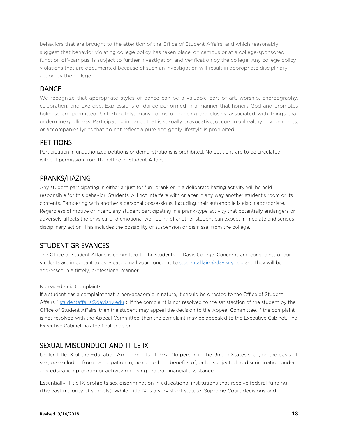behaviors that are brought to the attention of the Office of Student Affairs, and which reasonably suggest that behavior violating college policy has taken place, on campus or at a college-sponsored function off-campus, is subject to further investigation and verification by the college. Any college policy violations that are documented because of such an investigation will result in appropriate disciplinary action by the college.

#### **DANCE**

We recognize that appropriate styles of dance can be a valuable part of art, worship, choreography, celebration, and exercise. Expressions of dance performed in a manner that honors God and promotes holiness are permitted. Unfortunately, many forms of dancing are closely associated with things that undermine godliness. Participating in dance that is sexually provocative, occurs in unhealthy environments, or accompanies lyrics that do not reflect a pure and godly lifestyle is prohibited.

#### **PETITIONS**

Participation in unauthorized petitions or demonstrations is prohibited. No petitions are to be circulated without permission from the Office of Student Affairs.

### PRANKS/HAZING

Any student participating in either a "just for fun" prank or in a deliberate hazing activity will be held responsible for this behavior. Students will not interfere with or alter in any way another student's room or its contents. Tampering with another's personal possessions, including their automobile is also inappropriate. Regardless of motive or intent, any student participating in a prank-type activity that potentially endangers or adversely affects the physical and emotional well-being of another student can expect immediate and serious disciplinary action. This includes the possibility of suspension or dismissal from the college.

### STUDENT GRIEVANCES

The Office of Student Affairs is committed to the students of Davis College. Concerns and complaints of our students are important to us. Please email your concerns to studentaffairs@davisny.edu and they will be addressed in a timely, professional manner.

#### Non-academic Complaints:

If a student has a complaint that is non-academic in nature, it should be directed to the Office of Student Affairs ( studentaffairs@davisny.edu ). If the complaint is not resolved to the satisfaction of the student by the Office of Student Affairs, then the student may appeal the decision to the Appeal Committee. If the complaint is not resolved with the Appeal Committee, then the complaint may be appealed to the Executive Cabinet. The Executive Cabinet has the final decision.

### SEXUAL MISCONDUCT AND TITLE IX

Under Title IX of the Education Amendments of 1972: No person in the United States shall, on the basis of sex, be excluded from participation in, be denied the benefits of, or be subjected to discrimination under any education program or activity receiving federal financial assistance.

Essentially, Title IX prohibits sex discrimination in educational institutions that receive federal funding (the vast majority of schools). While Title IX is a very short statute, Supreme Court decisions and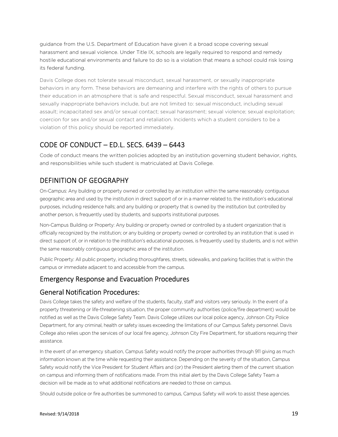guidance from the U.S. Department of Education have given it a broad scope covering sexual harassment and sexual violence. Under Title IX, schools are legally required to respond and remedy hostile educational environments and failure to do so is a violation that means a school could risk losing its federal funding.

Davis College does not tolerate sexual misconduct, sexual harassment, or sexually inappropriate behaviors in any form. These behaviors are demeaning and interfere with the rights of others to pursue their education in an atmosphere that is safe and respectful. Sexual misconduct, sexual harassment and sexually inappropriate behaviors include, but are not limited to: sexual misconduct, including sexual assault; incapacitated sex and/or sexual contact; sexual harassment; sexual violence; sexual exploitation; coercion for sex and/or sexual contact and retaliation. Incidents which a student considers to be a violation of this policy should be reported immediately.

### CODE OF CONDUCT – ED.L. SECS. 6439 – 6443

Code of conduct means the written policies adopted by an institution governing student behavior, rights, and responsibilities while such student is matriculated at Davis College.

# DEFINITION OF GEOGRAPHY

On-Campus: Any building or property owned or controlled by an institution within the same reasonably contiguous geographic area and used by the institution in direct support of or in a manner related to, the institution's educational purposes, including residence halls; and any building or property that is owned by the institution but controlled by another person, is frequently used by students, and supports institutional purposes.

Non-Campus Building or Property: Any building or property owned or controlled by a student organization that is officially recognized by the institution; or any building or property owned or controlled by an institution that is used in direct support of, or in relation to the institution's educational purposes, is frequently used by students, and is not within the same reasonably contiguous geographic area of the institution.

Public Property: All public property, including thoroughfares, streets, sidewalks, and parking facilities that is within the campus or immediate adjacent to and accessible from the campus.

#### Emergency Response and Evacuation Procedures

#### General Notification Procedures:

Davis College takes the safety and welfare of the students, faculty, staff and visitors very seriously. In the event of a property threatening or life-threatening situation, the proper community authorities (police/fire department) would be notified as well as the Davis College Safety Team. Davis College utilizes our local police agency, Johnson City Police Department, for any criminal, health or safety issues exceeding the limitations of our Campus Safety personnel. Davis College also relies upon the services of our local fire agency, Johnson City Fire Department, for situations requiring their assistance.

In the event of an emergency situation, Campus Safety would notify the proper authorities through 911 giving as much information known at the time while requesting their assistance. Depending on the severity of the situation, Campus Safety would notify the Vice President for Student Affairs and (or) the President alerting them of the current situation on campus and informing them of notifications made. From this initial alert by the Davis College Safety Team a decision will be made as to what additional notifications are needed to those on campus.

Should outside police or fire authorities be summoned to campus, Campus Safety will work to assist these agencies.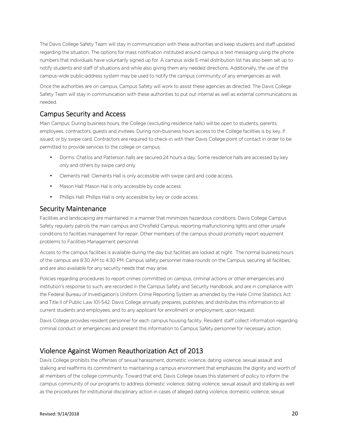The Davis College Safety Team will stay in communication with these authorities and keep students and staff updated regarding the situation. The options for mass notification instituted around campus is text messaging using the phone numbers that individuals have voluntarily signed up for. A campus wide E-mail distribution list has also been set up to notify students and staff of situations and while also giving them any needed directions. Additionally, the use of the campus-wide public-address system may be used to notify the campus community of any emergencies as well.

Once the authorities are on campus, Campus Safety will work to assist these agencies as directed. The Davis College Safety Team will stay in communication with these authorities to put out internal as well as external communications as needed.

#### Campus Security and Access

Main Campus: During business hours, the College (excluding residence halls) will be open to students, parents, employees, contractors, guests and invitees. During non-business hours access to the College facilities is by key, if issued, or by swipe card. Contractors are required to check-in with their Davis College point of contact in order to be permitted to provide services to the college on campus.

- Dorms: Chatlos and Patterson halls are secured 24 hours a day. Some residence halls are accessed by key only and others by swipe card only.
- Clements Hall: Clements Hall is only accessible with swipe card and code access.
- Mason Hall: Mason Hal is only accessible by code access.
- Phillips Hall: Phillips Hall is only accessible by key or code access.

#### Security Maintenance

Facilities and landscaping are maintained in a manner that minimizes hazardous conditions. Davis College Campus Safety regularly patrols the main campus and Chrisfield Campus, reporting malfunctioning lights and other unsafe conditions to facilities management for repair. Other members of the campus should promptly report equipment problems to Facilities Management personnel.

Access to the campus facilities is available during the day but facilities are locked at night. The normal business hours of the campus are 8:30 AM to 4:30 PM. Campus safety personnel make rounds on the Campus, securing all facilities, and are also available for any security needs that may arise.

Policies regarding procedures to report crimes committed on campus, criminal actions or other emergencies and institution's response to such, are recorded in the Campus Safety and Security Handbook, and are in compliance with the Federal Bureau of Investigation's Uniform Crime Reporting System as amended by the Hate Crime Statistics Act and Title II of Public Law 101-542. Davis College annually prepares, publishes, and distributes this information to all current students and employees, and to any applicant for enrollment or employment, upon request.

Davis College provides resident personnel for each campus housing facility. Resident staff collect information regarding criminal conduct or emergencies and present this information to Campus Safety personnel for necessary action.

### Violence Against Women Reauthorization Act of 2013

Davis College prohibits the offenses of sexual harassment, domestic violence, dating violence, sexual assault and stalking and reaffirms its commitment to maintaining a campus environment that emphasizes the dignity and worth of all members of the college community. Toward that end, Davis College issues this statement of policy to inform the campus community of our programs to address domestic violence, dating violence, sexual assault and stalking as well as the procedures for institutional disciplinary action in cases of alleged dating violence, domestic violence, sexual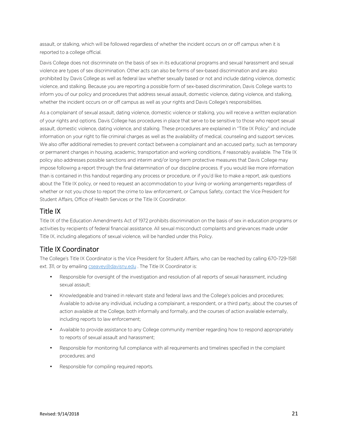assault, or stalking, which will be followed regardless of whether the incident occurs on or off campus when it is reported to a college official.

Davis College does not discriminate on the basis of sex in its educational programs and sexual harassment and sexual violence are types of sex discrimination. Other acts can also be forms of sex-based discrimination and are also prohibited by Davis College as well as federal law whether sexually based or not and include dating violence, domestic violence, and stalking. Because you are reporting a possible form of sex-based discrimination, Davis College wants to inform you of our policy and procedures that address sexual assault, domestic violence, dating violence, and stalking, whether the incident occurs on or off campus as well as your rights and Davis College's responsibilities.

As a complainant of sexual assault, dating violence, domestic violence or stalking, you will receive a written explanation of your rights and options. Davis College has procedures in place that serve to be sensitive to those who report sexual assault, domestic violence, dating violence, and stalking. These procedures are explained in "Title IX Policy" and include information on your right to file criminal charges as well as the availability of medical, counseling and support services. We also offer additional remedies to prevent contact between a complainant and an accused party, such as temporary or permanent changes in housing, academic, transportation and working conditions, if reasonably available. The Title IX policy also addresses possible sanctions and interim and/or long-term protective measures that Davis College may impose following a report through the final determination of our discipline process. If you would like more information than is contained in this handout regarding any process or procedure, or if you'd like to make a report, ask questions about the Title IX policy, or need to request an accommodation to your living or working arrangements regardless of whether or not you chose to report the crime to law enforcement, or Campus Safety, contact the Vice President for Student Affairs, Office of Health Services or the Title IX Coordinator.

#### Title IX

Title IX of the Education Amendments Act of 1972 prohibits discrimination on the basis of sex in education programs or activities by recipients of federal financial assistance. All sexual misconduct complaints and grievances made under Title IX, including allegations of sexual violence, will be handled under this Policy.

# Title IX Coordinator

The College's Title IX Coordinator is the Vice President for Student Affairs, who can be reached by calling 670-729-1581 ext. 311, or by emailing cseavey@davisny.edu. The Title IX Coordinator is:

- Responsible for oversight of the investigation and resolution of all reports of sexual harassment, including sexual assault;
- Knowledgeable and trained in relevant state and federal laws and the College's policies and procedures; Available to advise any individual, including a complainant, a respondent, or a third party, about the courses of action available at the College, both informally and formally, and the courses of action available externally, including reports to law enforcement;
- Available to provide assistance to any College community member regarding how to respond appropriately to reports of sexual assault and harassment;
- Responsible for monitoring full compliance with all requirements and timelines specified in the complaint procedures; and
- Responsible for compiling required reports.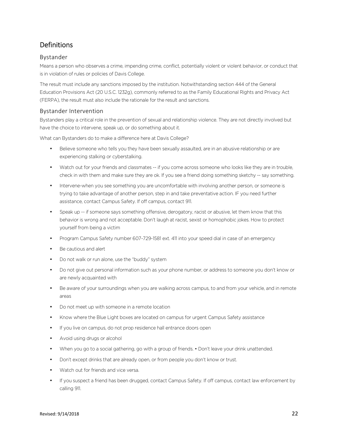# Definitions

#### Bystander

Means a person who observes a crime, impending crime, conflict, potentially violent or violent behavior, or conduct that is in violation of rules or policies of Davis College.

The result must include any sanctions imposed by the institution. Notwithstanding section 444 of the General Education Provisions Act (20 U.S.C. 1232g), commonly referred to as the Family Educational Rights and Privacy Act (FERPA), the result must also include the rationale for the result and sanctions.

#### Bystander Intervention

Bystanders play a critical role in the prevention of sexual and relationship violence. They are not directly involved but have the choice to intervene, speak up, or do something about it.

What can Bystanders do to make a difference here at Davis College?

- Believe someone who tells you they have been sexually assaulted, are in an abusive relationship or are experiencing stalking or cyberstalking.
- Watch out for your friends and classmates -- if you come across someone who looks like they are in trouble, check in with them and make sure they are ok. If you see a friend doing something sketchy -- say something.
- Intervene-when you see something you are uncomfortable with involving another person, or someone is trying to take advantage of another person, step in and take preventative action. IF you need further assistance, contact Campus Safety. If off campus, contact 911.
- Speak up -- if someone says something offensive, derogatory, racist or abusive, let them know that this behavior is wrong and not acceptable. Don't laugh at racist, sexist or homophobic jokes. How to protect yourself from being a victim
- Program Campus Safety number 607-729-1581 ext. 411 into your speed dial in case of an emergency
- Be cautious and alert
- Do not walk or run alone, use the "buddy" system
- Do not give out personal information such as your phone number, or address to someone you don't know or are newly acquainted with
- Be aware of your surroundings when you are walking across campus, to and from your vehicle, and in remote areas
- Do not meet up with someone in a remote location
- Know where the Blue Light boxes are located on campus for urgent Campus Safety assistance
- If you live on campus, do not prop residence hall entrance doors open
- Avoid using drugs or alcohol
- When you go to a social gathering, go with a group of friends. Don't leave your drink unattended.
- Don't except drinks that are already open, or from people you don't know or trust.
- Watch out for friends and vice versa.
- If you suspect a friend has been drugged, contact Campus Safety. If off campus, contact law enforcement by calling 911.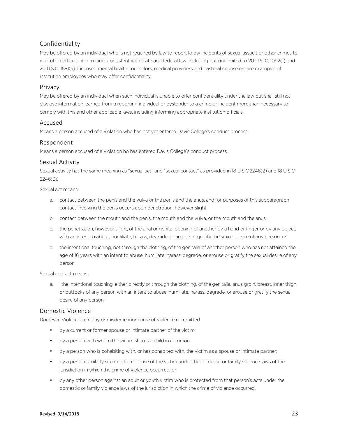#### Confidentiality

May be offered by an individual who is not required by law to report know incidents of sexual assault or other crimes to institution officials, in a manner consistent with state and federal law, including but not limited to 20 U.S. C. 1092(f) and 20 U.S.C. 1681(a). Licensed mental health counselors, medical providers and pastoral counselors are examples of institution employees who may offer confidentiality.

#### Privacy

May be offered by an individual when such individual is unable to offer confidentiality under the law but shall still not disclose information learned from a reporting individual or bystander to a crime or incident more than necessary to comply with this and other applicable laws, including informing appropriate institution officials.

#### Accused

Means a person accused of a violation who has not yet entered Davis College's conduct process.

#### Respondent

Means a person accused of a violation ho has entered Davis College's conduct process.

#### Sexual Activity

Sexual activity has the same meaning as "sexual act" and "sexual contact" as provided in 18 U.S.C.2246(2) and 18 U.S.C. 2246(3).

Sexual act means:

- a. contact between the penis and the vulva or the penis and the anus, and for purposes of this subparagraph contact involving the penis occurs upon penetration, however slight;
- b. contact between the mouth and the penis, the mouth and the vulva, or the mouth and the anus;
- c. the penetration, however slight, of the anal or genital opening of another by a hand or finger or by any object, with an intent to abuse, humiliate, harass, degrade, or arouse or gratify the sexual desire of any person; or
- d. the intentional touching, not through the clothing, of the genitalia of another person who has not attained the age of 16 years with an intent to abuse, humiliate, harass, degrade, or arouse or gratify the sexual desire of any person;

Sexual contact means:

a. "the intentional touching, either directly or through the clothing, of the genitalia, anus groin, breast, inner thigh, or buttocks of any person with an intent to abuse, humiliate, harass, degrade, or arouse or gratify the sexual desire of any person."

#### Domestic Violence

Domestic Violence: a felony or misdemeanor crime of violence committed

- by a current or former spouse or intimate partner of the victim;
- by a person with whom the victim shares a child in common;
- by a person who is cohabiting with, or has cohabited with, the victim as a spouse or intimate partner;
- by a person similarly situated to a spouse of the victim under the domestic or family violence laws of the jurisdiction in which the crime of violence occurred; or
- by any other person against an adult or youth victim who is protected from that person's acts under the domestic or family violence laws of the jurisdiction in which the crime of violence occurred.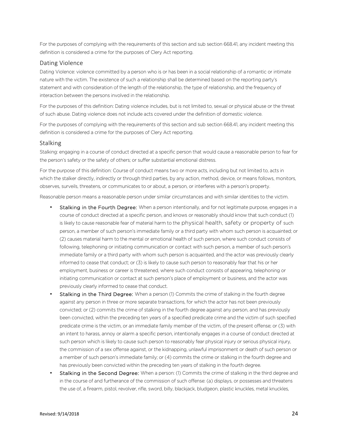For the purposes of complying with the requirements of this section and sub section 668.41, any incident meeting this definition is considered a crime for the purposes of Clery Act reporting.

#### Dating Violence

Dating Violence: violence committed by a person who is or has been in a social relationship of a romantic or intimate nature with the victim. The existence of such a relationship shall be determined based on the reporting party's statement and with consideration of the length of the relationship, the type of relationship, and the frequency of interaction between the persons involved in the relationship.

For the purposes of this definition: Dating violence includes, but is not limited to, sexual or physical abuse or the threat of such abuse. Dating violence does not include acts covered under the definition of domestic violence.

For the purposes of complying with the requirements of this section and sub section 668.41, any incident meeting this definition is considered a crime for the purposes of Clery Act reporting.

#### Stalking

Stalking: engaging in a course of conduct directed at a specific person that would cause a reasonable person to fear for the person's safety or the safety of others; or suffer substantial emotional distress.

For the purpose of this definition: Course of conduct means two or more acts, including but not limited to, acts in which the stalker directly, indirectly or through third parties, by any action, method, device, or means follows, monitors, observes, surveils, threatens, or communicates to or about, a person, or interferes with a person's property.

Reasonable person means a reasonable person under similar circumstances and with similar identities to the victim.

- Stalking in the Fourth Degree: When a person intentionally, and for not legitimate purpose, engages in a course of conduct directed at a specific person, and knows or reasonably should know that such conduct (1) is likely to cause reasonable fear of material harm to the physical health, safety or property of such person, a member of such person's immediate family or a third party with whom such person is acquainted; or (2) causes material harm to the mental or emotional health of such person, where such conduct consists of following, telephoning or initiating communication or contact with such person, a member of such person's immediate family or a third party with whom such person is acquainted, and the actor was previously clearly informed to cease that conduct; or (3) is likely to cause such person to reasonably fear that his or her employment, business or career is threatened, where such conduct consists of appearing, telephoning or initiating communication or contact at such person's place of employment or business, and the actor was previously clearly informed to cease that conduct.
- **Stalking in the Third Degree:** When a person (1) Commits the crime of stalking in the fourth degree against any person in three or more separate transactions, for which the actor has not been previously convicted; or (2) commits the crime of stalking in the fourth degree against any person, and has previously been convicted, within the preceding ten years of a specified predicate crime and the victim of such specified predicate crime is the victim, or an immediate family member of the victim, of the present offense; or (3) with an intent to harass, annoy or alarm a specific person, intentionally engages in a course of conduct directed at such person which is likely to cause such person to reasonably fear physical injury or serious physical injury, the commission of a sex offense against, or the kidnapping, unlawful imprisonment or death of such person or a member of such person's immediate family; or (4) commits the crime or stalking in the fourth degree and has previously been convicted within the preceding ten years of stalking in the fourth degree.
- Stalking in the Second Degree: When a person: (1) Commits the crime of stalking in the third degree and in the course of and furtherance of the commission of such offense: (a) displays, or possesses and threatens the use of, a firearm, pistol, revolver, rifle, sword, billy, blackjack, bludgeon, plastic knuckles, metal knuckles,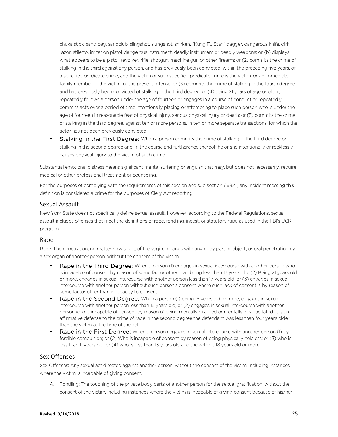chuka stick, sand bag, sandclub, slingshot, slungshot, shirken, "Kung Fu Star," dagger, dangerous knife, dirk, razor, stiletto, imitation pistol, dangerous instrument, deadly instrument or deadly weapons; or (b) displays what appears to be a pistol, revolver, rifle, shotgun, machine gun or other firearm; or (2) commits the crime of stalking in the third against any person, and has previously been convicted, within the preceding five years, of a specified predicate crime, and the victim of such specified predicate crime is the victim, or an immediate family member of the victim, of the present offense; or (3) commits the crime of stalking in the fourth degree and has previously been convicted of stalking in the third degree; or (4) being 21 years of age or older, repeatedly follows a person under the age of fourteen or engages in a course of conduct or repeatedly commits acts over a period of time intentionally placing or attempting to place such person who is under the age of fourteen in reasonable fear of physical injury, serious physical injury or death; or (5) commits the crime of stalking in the third degree, against ten or more persons, in ten or more separate transactions, for which the actor has not been previously convicted.

Stalking in the First Degree: When a person commits the crime of stalking in the third degree or stalking in the second degree and, in the course and furtherance thereof, he or she intentionally or recklessly causes physical injury to the victim of such crime.

Substantial emotional distress means significant mental suffering or anguish that may, but does not necessarily, require medical or other professional treatment or counseling.

For the purposes of complying with the requirements of this section and sub section 668.41, any incident meeting this definition is considered a crime for the purposes of Clery Act reporting.

#### Sexual Assault

New York State does not specifically define sexual assault. However, according to the Federal Regulations, sexual assault includes offenses that meet the definitions of rape, fondling, incest, or statutory rape as used in the FBI's UCR program.

#### Rape

Rape: The penetration, no matter how slight, of the vagina or anus with any body part or object, or oral penetration by a sex organ of another person, without the consent of the victim

- Rape in the Third Degree: When a person (1) engages in sexual intercourse with another person who is incapable of consent by reason of some factor other than being less than 17 years old; (2) Being 21 years old or more, engages in sexual intercourse with another person less than 17 years old; or (3) engages in sexual intercourse with another person without such person's consent where such lack of consent is by reason of some factor other than incapacity to consent.
- **Rape in the Second Degree:** When a person (1) being 18 years old or more, engages in sexual intercourse with another person less than 15 years old; or (2) engages in sexual intercourse with another person who is incapable of consent by reason of being mentally disabled or mentally incapacitated. It is an affirmative defense to the crime of rape in the second degree the defendant was less than four years older than the victim at the time of the act.
- Rape in the First Degree: When a person engages in sexual intercourse with another person (1) by forcible compulsion; or (2) Who is incapable of consent by reason of being physically helpless; or (3) who is less than 11 years old; or (4) who is less than 13 years old and the actor is 18 years old or more.

#### Sex Offenses

Sex Offenses: Any sexual act directed against another person, without the consent of the victim, including instances where the victim is incapable of giving consent.

A. Fondling: The touching of the private body parts of another person for the sexual gratification, without the consent of the victim, including instances where the victim is incapable of giving consent because of his/her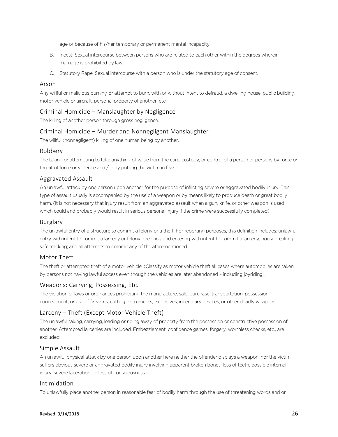age or because of his/her temporary or permanent mental incapacity.

- B. Incest: Sexual intercourse between persons who are related to each other within the degrees wherein marriage is prohibited by law.
- C. Statutory Rape: Sexual intercourse with a person who is under the statutory age of consent.

#### Arson

Any willful or malicious burning or attempt to burn, with or without intent to defraud, a dwelling house, public building, motor vehicle or aircraft, personal property of another, etc.

#### Criminal Homicide – Manslaughter by Negligence

The killing of another person through gross negligence.

#### Criminal Homicide – Murder and Nonnegligent Manslaughter

The willful (nonnegligent) killing of one human being by another.

#### Robbery

The taking or attempting to take anything of value from the care, custody, or control of a person or persons by force or threat of force or violence and /or by putting the victim in fear.

#### Aggravated Assault

An unlawful attack by one person upon another for the purpose of inflicting severe or aggravated bodily injury. This type of assault usually is accompanied by the use of a weapon or by means likely to produce death or great bodily harm. (It is not necessary that injury result from an aggravated assault when a gun, knife, or other weapon is used which could and probably would result in serious personal injury if the crime were successfully completed).

#### Burglary

The unlawful entry of a structure to commit a felony or a theft. For reporting purposes, this definition includes: unlawful entry with intent to commit a larceny or felony; breaking and entering with intent to commit a larceny; housebreaking; safecracking; and all attempts to commit any of the aforementioned.

#### Motor Theft

The theft or attempted theft of a motor vehicle. (Classify as motor vehicle theft all cases where automobiles are taken by persons not having lawful access even though the vehicles are later abandoned – including joyriding).

#### Weapons: Carrying, Possessing, Etc.

The violation of laws or ordinances prohibiting the manufacture, sale, purchase, transportation, possession, concealment, or use of firearms, cutting instruments, explosives, incendiary devices, or other deadly weapons.

#### Larceny – Theft (Except Motor Vehicle Theft)

The unlawful taking, carrying, leading or riding away of property from the possession or constructive possession of another. Attempted larcenies are included. Embezzlement, confidence games, forgery, worthless checks, etc., are excluded.

#### Simple Assault

An unlawful physical attack by one person upon another here neither the offender displays a weapon, nor the victim suffers obvious severe or aggravated bodily injury involving apparent broken bones, loss of teeth, possible internal injury, severe laceration, or loss of consciousness.

#### Intimidation

To unlawfully place another person in reasonable fear of bodily harm through the use of threatening words and or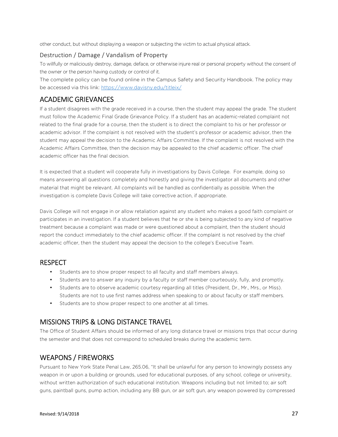other conduct, but without displaying a weapon or subjecting the victim to actual physical attack.

#### Destruction / Damage / Vandalism of Property

To willfully or maliciously destroy, damage, deface, or otherwise injure real or personal property without the consent of the owner or the person having custody or control of it.

The complete policy can be found online in the Campus Safety and Security Handbook. The policy may be accessed via this link: https://www.davisny.edu/titleix/

#### ACADEMIC GRIEVANCES

If a student disagrees with the grade received in a course, then the student may appeal the grade. The student must follow the Academic Final Grade Grievance Policy. If a student has an academic-related complaint not related to the final grade for a course, then the student is to direct the complaint to his or her professor or academic advisor. If the complaint is not resolved with the student's professor or academic advisor, then the student may appeal the decision to the Academic Affairs Committee. If the complaint is not resolved with the Academic Affairs Committee, then the decision may be appealed to the chief academic officer. The chief academic officer has the final decision.

It is expected that a student will cooperate fully in investigations by Davis College. For example, doing so means answering all questions completely and honestly and giving the investigator all documents and other material that might be relevant. All complaints will be handled as confidentially as possible. When the investigation is complete Davis College will take corrective action, if appropriate.

Davis College will not engage in or allow retaliation against any student who makes a good faith complaint or participates in an investigation. If a student believes that he or she is being subjected to any kind of negative treatment because a complaint was made or were questioned about a complaint, then the student should report the conduct immediately to the chief academic officer. If the complaint is not resolved by the chief academic officer, then the student may appeal the decision to the college's Executive Team.

#### RESPECT

- Students are to show proper respect to all faculty and staff members always.
- Students are to answer any inquiry by a faculty or staff member courteously, fully, and promptly.
- Students are to observe academic courtesy regarding all titles (President, Dr., Mr., Mrs., or Miss). Students are not to use first names address when speaking to or about faculty or staff members.
- Students are to show proper respect to one another at all times.

### MISSIONS TRIPS & LONG DISTANCE TRAVEL

The Office of Student Affairs should be informed of any long distance travel or missions trips that occur during the semester and that does not correspond to scheduled breaks during the academic term.

### WEAPONS / FIREWORKS

Pursuant to New York State Penal Law, 265.06, "It shall be unlawful for any person to knowingly possess any weapon in or upon a building or grounds, used for educational purposes, of any school, college or university, without written authorization of such educational institution. Weapons including but not limited to; air soft guns, paintball guns, pump action, including any BB gun, or air soft gun, any weapon powered by compressed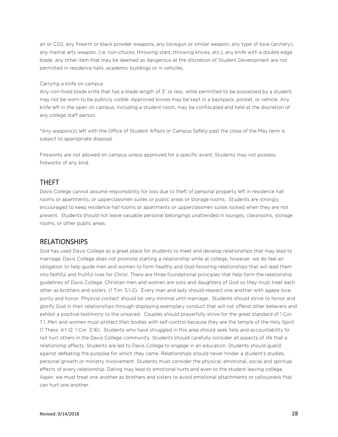air or CO2, any firearm or black powder weapons, any blowgun or similar weapon, any type of bow (archery), any martial arts weapon, (i.e. nun-chucks, throwing stars, throwing knives, etc.), any knife with a double edge blade, any other item that may be deemed as dangerous at the discretion of Student Development are not permitted in residence halls, academic buildings or in vehicles.

#### Carrying a knife on campus

Any non-fixed blade knife that has a blade length of 3" or less, while permitted to be possessed by a student, may not be worn to be publicly visible. Approved knives may be kept in a backpack, pocket, or vehicle. Any knife left in the open on campus, including a student room, may be confiscated and held at the discretion of any college staff person.

\*Any weapon(s) left with the Office of Student Affairs or Campus Safety past the close of the May term is subject to appropriate disposal.

Fireworks are not allowed on campus unless approved for a specific event. Students may not possess fireworks of any kind.

#### THEFT

Davis College cannot assume responsibility for loss due to theft of personal property left in residence hall rooms or apartments, or upperclassmen suites or public areas or storage rooms. Students are strongly encouraged to keep residence hall rooms or apartments or upperclassmen suites locked when they are not present. Students should not leave valuable personal belongings unattended in lounges, classrooms, storage rooms, or other public areas.

#### RELATIONSHIPS

God has used Davis College as a great place for students to meet and develop relationships that may lead to marriage. Davis College does not promote starting a relationship while at college; however, we do feel an obligation to help guide men and women to form healthy and God-honoring relationships that will lead them into faithful and fruitful lives for Christ. There are three foundational principles that help form the relationship guidelines of Davis College. Christian men and women are sons and daughters of God so they must treat each other as brothers and sisters. (1 Tim. 5:1-2). Every man and lady should respect one another with agape love, purity and honor. Physical contact should be very minimal until marriage. Students should strive to honor and glorify God in their relationships through displaying exemplary conduct that will not offend other believers and exhibit a positive testimony to the unsaved. Couples should prayerfully strive for the great standard of 1 Cor. 7.1. Men and women must protect their bodies with self-control because they are the temple of the Holy Spirit (1 Thess. 4:1-12; 1 Cor. 3:16). Students who have struggled in this area should seek help and accountability to not hurt others in the Davis College community. Students should carefully consider all aspects of life that a relationship affects. Students are led to Davis College to engage in an education. Students should guard against defeating the purpose for which they came. Relationships should never hinder a student's studies, personal growth or ministry involvement. Students must consider the physical, emotional, social and spiritual effects of every relationship. Dating may lead to emotional hurts and even to the student leaving college. Again, we must treat one another as brothers and sisters to avoid emotional attachments or callousness that can hurt one another.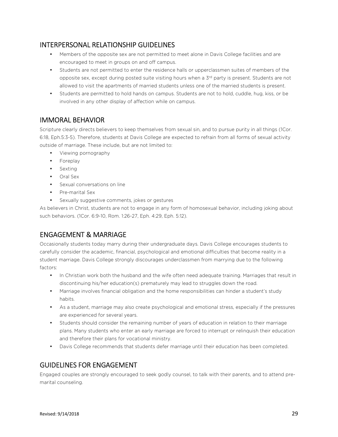# INTERPERSONAL RELATIONSHIP GUIDELINES

- Members of the opposite sex are not permitted to meet alone in Davis College facilities and are encouraged to meet in groups on and off campus.
- Students are not permitted to enter the residence halls or upperclassmen suites of members of the opposite sex, except during posted suite visiting hours when a 3<sup>rd</sup> party is present. Students are not allowed to visit the apartments of married students unless one of the married students is present.
- Students are permitted to hold hands on campus. Students are not to hold, cuddle, hug, kiss, or be involved in any other display of affection while on campus.

# IMMORAL BEHAVIOR

Scripture clearly directs believers to keep themselves from sexual sin, and to pursue purity in all things (1Cor. 6:18, Eph.5:3-5). Therefore, students at Davis College are expected to refrain from all forms of sexual activity outside of marriage. These include, but are not limited to:

- Viewing pornography
- Foreplay
- Sexting
- Oral Sex
- Sexual conversations on line
- Pre-marital Sex
- Sexually suggestive comments, jokes or gestures

As believers in Christ, students are not to engage in any form of homosexual behavior, including joking about such behaviors. (1Cor. 6:9-10, Rom. 1:26-27, Eph. 4:29, Eph. 5:12).

# ENGAGEMENT & MARRIAGE

Occasionally students today marry during their undergraduate days. Davis College encourages students to carefully consider the academic, financial, psychological and emotional difficulties that become reality in a student marriage. Davis College strongly discourages underclassmen from marrying due to the following factors:

- In Christian work both the husband and the wife often need adequate training. Marriages that result in discontinuing his/her education(s) prematurely may lead to struggles down the road.
- Marriage involves financial obligation and the home responsibilities can hinder a student's study habits.
- As a student, marriage may also create psychological and emotional stress, especially if the pressures are experienced for several years.
- Students should consider the remaining number of years of education in relation to their marriage plans. Many students who enter an early marriage are forced to interrupt or relinquish their education and therefore their plans for vocational ministry.
- Davis College recommends that students defer marriage until their education has been completed.

# GUIDELINES FOR ENGAGEMENT

Engaged couples are strongly encouraged to seek godly counsel, to talk with their parents, and to attend premarital counseling.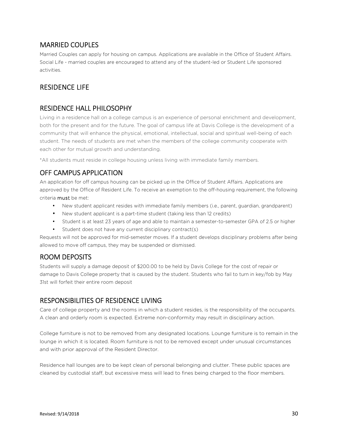# MARRIED COUPLES

Married Couples can apply for housing on campus. Applications are available in the Office of Student Affairs. Social Life - married couples are encouraged to attend any of the student-led or Student Life sponsored activities.

# RESIDENCE LIFE

# RESIDENCE HALL PHILOSOPHY

Living in a residence hall on a college campus is an experience of personal enrichment and development, both for the present and for the future. The goal of campus life at Davis College is the development of a community that will enhance the physical, emotional, intellectual, social and spiritual well-being of each student. The needs of students are met when the members of the college community cooperate with each other for mutual growth and understanding.

\*All students must reside in college housing unless living with immediate family members.

# OFF CAMPUS APPLICATION

An application for off campus housing can be picked up in the Office of Student Affairs. Applications are approved by the Office of Resident Life. To receive an exemption to the off-housing requirement, the following criteria must be met:

- New student applicant resides with immediate family members (i.e., parent, guardian, grandparent)
- New student applicant is a part-time student (taking less than 12 credits)
- Student is at least 23 years of age and able to maintain a semester-to-semester GPA of 2.5 or higher
- Student does not have any current disciplinary contract(s)

Requests will not be approved for mid-semester moves. If a student develops disciplinary problems after being allowed to move off campus, they may be suspended or dismissed.

# ROOM DEPOSITS

Students will supply a damage deposit of \$200.00 to be held by Davis College for the cost of repair or damage to Davis College property that is caused by the student. Students who fail to turn in key/fob by May 31st will forfeit their entire room deposit

# RESPONSIBILITIES OF RESIDENCE LIVING

Care of college property and the rooms in which a student resides, is the responsibility of the occupants. A clean and orderly room is expected. Extreme non-conformity may result in disciplinary action.

College furniture is not to be removed from any designated locations. Lounge furniture is to remain in the lounge in which it is located. Room furniture is not to be removed except under unusual circumstances and with prior approval of the Resident Director.

Residence hall lounges are to be kept clean of personal belonging and clutter. These public spaces are cleaned by custodial staff, but excessive mess will lead to fines being charged to the floor members.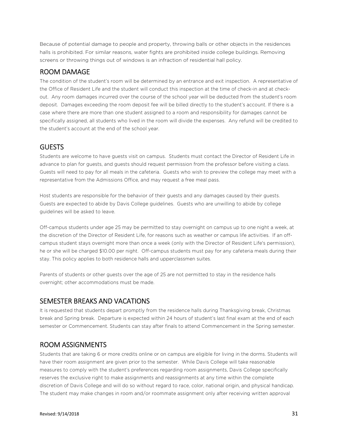Because of potential damage to people and property, throwing balls or other objects in the residences halls is prohibited. For similar reasons, water fights are prohibited inside college buildings. Removing screens or throwing things out of windows is an infraction of residential hall policy.

#### ROOM DAMAGE

The condition of the student's room will be determined by an entrance and exit inspection. A representative of the Office of Resident Life and the student will conduct this inspection at the time of check-in and at checkout. Any room damages incurred over the course of the school year will be deducted from the student's room deposit. Damages exceeding the room deposit fee will be billed directly to the student's account. If there is a case where there are more than one student assigned to a room and responsibility for damages cannot be specifically assigned, all students who lived in the room will divide the expenses. Any refund will be credited to the student's account at the end of the school year.

#### **GUESTS**

Students are welcome to have guests visit on campus. Students must contact the Director of Resident Life in advance to plan for guests, and guests should request permission from the professor before visiting a class. Guests will need to pay for all meals in the cafeteria. Guests who wish to preview the college may meet with a representative from the Admissions Office, and may request a free meal pass.

Host students are responsible for the behavior of their guests and any damages caused by their guests. Guests are expected to abide by Davis College guidelines. Guests who are unwilling to abide by college guidelines will be asked to leave.

Off-campus students under age 25 may be permitted to stay overnight on campus up to one night a week, at the discretion of the Director of Resident Life, for reasons such as weather or campus life activities. If an offcampus student stays overnight more than once a week (only with the Director of Resident Life's permission), he or she will be charged \$10.00 per night. Off-campus students must pay for any cafeteria meals during their stay. This policy applies to both residence halls and upperclassmen suites.

Parents of students or other guests over the age of 25 are not permitted to stay in the residence halls overnight; other accommodations must be made.

#### SEMESTER BREAKS AND VACATIONS

It is requested that students depart promptly from the residence halls during Thanksgiving break, Christmas break and Spring break. Departure is expected within 24 hours of student's last final exam at the end of each semester or Commencement. Students can stay after finals to attend Commencement in the Spring semester.

#### ROOM ASSIGNMENTS

Students that are taking 6 or more credits online or on campus are eligible for living in the dorms. Students will have their room assignment are given prior to the semester. While Davis College will take reasonable measures to comply with the student's preferences regarding room assignments, Davis College specifically reserves the exclusive right to make assignments and reassignments at any time within the complete discretion of Davis College and will do so without regard to race, color, national origin, and physical handicap. The student may make changes in room and/or roommate assignment only after receiving written approval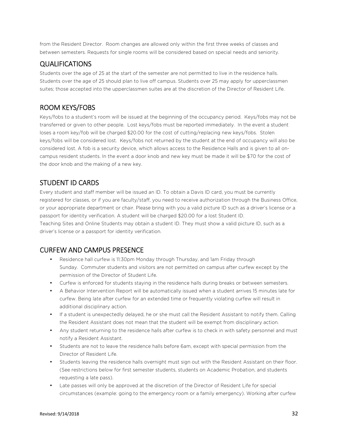from the Resident Director. Room changes are allowed only within the first three weeks of classes and between semesters. Requests for single rooms will be considered based on special needs and seniority.

#### QUALIFICATIONS

Students over the age of 25 at the start of the semester are not permitted to live in the residence halls. Students over the age of 25 should plan to live off campus. Students over 25 may apply for upperclassmen suites; those accepted into the upperclassmen suites are at the discretion of the Director of Resident Life.

# ROOM KEYS/FOBS

Keys/fobs to a student's room will be issued at the beginning of the occupancy period. Keys/fobs may not be transferred or given to other people. Lost keys/fobs must be reported immediately. In the event a student loses a room key/fob will be charged \$20.00 for the cost of cutting/replacing new keys/fobs. Stolen keys/fobs will be considered lost. Keys/fobs not returned by the student at the end of occupancy will also be considered lost. A fob is a security device, which allows access to the Residence Halls and is given to all oncampus resident students. In the event a door knob and new key must be made it will be \$70 for the cost of the door knob and the making of a new key.

# STUDENT ID CARDS

Every student and staff member will be issued an ID. To obtain a Davis ID card, you must be currently registered for classes, or if you are faculty/staff, you need to receive authorization through the Business Office, or your appropriate department or chair. Please bring with you a valid picture ID such as a driver's license or a passport for identity verification. A student will be charged \$20.00 for a lost Student ID.

Teaching Sites and Online Students may obtain a student ID. They must show a valid picture ID, such as a driver's license or a passport for identity verification.

### CURFEW AND CAMPUS PRESENCE

- Residence hall curfew is 11:30pm Monday through Thursday, and 1am Friday through Sunday. Commuter students and visitors are not permitted on campus after curfew except by the permission of the Director of Student Life.
- Curfew is enforced for students staying in the residence halls during breaks or between semesters.
- A Behavior Intervention Report will be automatically issued when a student arrives 15 minutes late for curfew. Being late after curfew for an extended time or frequently violating curfew will result in additional disciplinary action.
- If a student is unexpectedly delayed, he or she must call the Resident Assistant to notify them. Calling the Resident Assistant does not mean that the student will be exempt from disciplinary action.
- Any student returning to the residence halls after curfew is to check in with safety personnel and must notify a Resident Assistant.
- Students are not to leave the residence halls before 6am, except with special permission from the Director of Resident Life.
- Students leaving the residence halls overnight must sign out with the Resident Assistant on their floor. (See restrictions below for first semester students, students on Academic Probation, and students requesting a late pass).
- Late passes will only be approved at the discretion of the Director of Resident Life for special circumstances (example: going to the emergency room or a family emergency). Working after curfew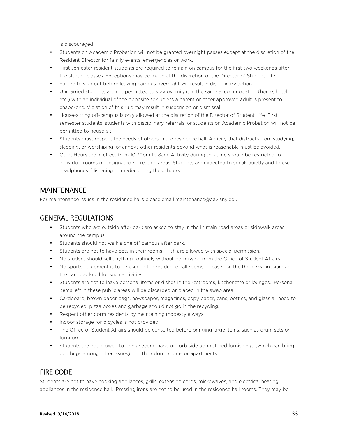is discouraged.

- Students on Academic Probation will not be granted overnight passes except at the discretion of the Resident Director for family events, emergencies or work.
- First semester resident students are required to remain on campus for the first two weekends after the start of classes. Exceptions may be made at the discretion of the Director of Student Life.
- Failure to sign out before leaving campus overnight will result in disciplinary action.
- Unmarried students are not permitted to stay overnight in the same accommodation (home, hotel, etc.) with an individual of the opposite sex unless a parent or other approved adult is present to chaperone. Violation of this rule may result in suspension or dismissal.
- House-sitting off-campus is only allowed at the discretion of the Director of Student Life. First semester students, students with disciplinary referrals, or students on Academic Probation will not be permitted to house-sit.
- Students must respect the needs of others in the residence hall. Activity that distracts from studying, sleeping, or worshiping, or annoys other residents beyond what is reasonable must be avoided.
- Quiet Hours are in effect from 10:30pm to 8am. Activity during this time should be restricted to individual rooms or designated recreation areas. Students are expected to speak quietly and to use headphones if listening to media during these hours.

# MAINTENANCE

For maintenance issues in the residence halls please email maintenance@davisny.edu

# GENERAL REGULATIONS

- Students who are outside after dark are asked to stay in the lit main road areas or sidewalk areas around the campus.
- Students should not walk alone off campus after dark.
- Students are not to have pets in their rooms. Fish are allowed with special permission.
- No student should sell anything routinely without permission from the Office of Student Affairs.
- No sports equipment is to be used in the residence hall rooms. Please use the Robb Gymnasium and the campus' knoll for such activities.
- Students are not to leave personal items or dishes in the restrooms, kitchenette or lounges. Personal items left in these public areas will be discarded or placed in the swap area.
- Cardboard, brown paper bags, newspaper, magazines, copy paper, cans, bottles, and glass all need to be recycled: pizza boxes and garbage should not go in the recycling.
- Respect other dorm residents by maintaining modesty always.
- Indoor storage for bicycles is not provided.
- The Office of Student Affairs should be consulted before bringing large items, such as drum sets or furniture.
- Students are not allowed to bring second hand or curb side upholstered furnishings (which can bring bed bugs among other issues) into their dorm rooms or apartments.

# FIRE CODE

Students are not to have cooking appliances, grills, extension cords, microwaves, and electrical heating appliances in the residence hall. Pressing irons are not to be used in the residence hall rooms. They may be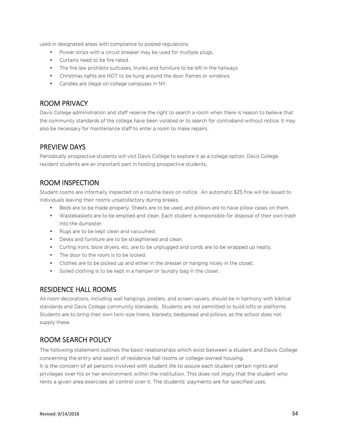used in designated areas with compliance to posted regulations.

- Power strips with a circuit breaker may be used for multiple plugs.
- Curtains need to be fire rated.
- The fire law prohibits suitcases, trunks and furniture to be left in the hallways
- Christmas lights are NOT to be hung around the door frames or windows
- Candles are illegal on college campuses in NY.

#### ROOM PRIVACY

Davis College administration and staff reserve the right to search a room when there is reason to believe that the community standards of the college have been violated or to search for contraband without notice. It may also be necessary for maintenance staff to enter a room to make repairs.

### PREVIEW DAYS

Periodically prospective students will visit Davis College to explore it as a college option. Davis College resident students are an important part in hosting prospective students.

### ROOM INSPECTION

Student rooms are informally inspected on a routine basis on notice. An automatic \$25 fine will be issued to individuals leaving their rooms unsatisfactory during breaks.

- Beds are to be made properly. Sheets are to be used, and pillows are to have pillow cases on them.
- Wastebaskets are to be emptied and clean. Each student is responsible for disposal of their own trash into the dumpster.
- Rugs are to be kept clean and vacuumed.
- Desks and furniture are to be straightened and clean.
- Curling irons, blow dryers, etc. are to be unplugged and cords are to be wrapped up neatly.
- The door to the room is to be locked.
- Clothes are to be picked up and either in the dresser or hanging nicely in the closet.
- Soiled clothing is to be kept in a hamper or laundry bag in the closet.

#### RESIDENCE HALL ROOMS

All room decorations, including wall hangings, posters, and screen savers, should be in harmony with biblical standards and Davis College community standards. Students are not permitted to build lofts or platforms. Students are to bring their own twin-size linens, blankets, bedspread and pillows, as the school does not supply these.

### ROOM SEARCH POLICY

The following statement outlines the basic relationships which exist between a student and Davis College concerning the entry and search of residence hall rooms or college-owned housing. It is the concern of all persons involved with student life to assure each student certain rights and privileges over his or her environment within the institution. This does not imply that the student who rents a given area exercises all control over it. The students' payments are for specified uses.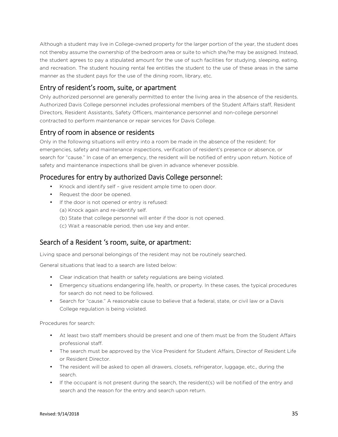Although a student may live in College-owned property for the larger portion of the year, the student does not thereby assume the ownership of the bedroom area or suite to which she/he may be assigned. Instead, the student agrees to pay a stipulated amount for the use of such facilities for studying, sleeping, eating, and recreation. The student housing rental fee entitles the student to the use of these areas in the same manner as the student pays for the use of the dining room, library, etc.

### Entry of resident's room, suite, or apartment

Only authorized personnel are generally permitted to enter the living area in the absence of the residents. Authorized Davis College personnel includes professional members of the Student Affairs staff, Resident Directors, Resident Assistants, Safety Officers, maintenance personnel and non-college personnel contracted to perform maintenance or repair services for Davis College.

# Entry of room in absence or residents

Only in the following situations will entry into a room be made in the absence of the resident: for emergencies, safety and maintenance inspections, verification of resident's presence or absence, or search for "cause." In case of an emergency, the resident will be notified of entry upon return. Notice of safety and maintenance inspections shall be given in advance whenever possible.

# Procedures for entry by authorized Davis College personnel:

- Knock and identify self give resident ample time to open door.
- Request the door be opened.
- If the door is not opened or entry is refused:
	- (a) Knock again and re-identify self.
	- (b) State that college personnel will enter if the door is not opened.
	- (c) Wait a reasonable period, then use key and enter.

### Search of a Resident 's room, suite, or apartment:

Living space and personal belongings of the resident may not be routinely searched.

General situations that lead to a search are listed below:

- Clear indication that health or safety regulations are being violated.
- Emergency situations endangering life, health, or property. In these cases, the typical procedures for search do not need to be followed.
- Search for "cause." A reasonable cause to believe that a federal, state, or civil law or a Davis College regulation is being violated.

Procedures for search:

- At least two staff members should be present and one of them must be from the Student Affairs professional staff.
- The search must be approved by the Vice President for Student Affairs, Director of Resident Life or Resident Director.
- The resident will be asked to open all drawers, closets, refrigerator, luggage, etc., during the search.
- If the occupant is not present during the search, the resident(s) will be notified of the entry and search and the reason for the entry and search upon return.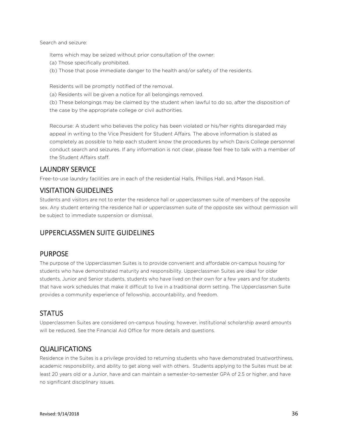Search and seizure:

Items which may be seized without prior consultation of the owner:

- (a) Those specifically prohibited.
- (b) Those that pose immediate danger to the health and/or safety of the residents.

Residents will be promptly notified of the removal.

(a) Residents will be given a notice for all belongings removed.

(b) These belongings may be claimed by the student when lawful to do so, after the disposition of the case by the appropriate college or civil authorities.

Recourse: A student who believes the policy has been violated or his/her rights disregarded may appeal in writing to the Vice President for Student Affairs. The above information is stated as completely as possible to help each student know the procedures by which Davis College personnel conduct search and seizures. If any information is not clear, please feel free to talk with a member of the Student Affairs staff.

# LAUNDRY SERVICE

Free-to-use laundry facilities are in each of the residential Halls, Phillips Hall, and Mason Hall.

### VISITATION GUIDELINES

Students and visitors are not to enter the residence hall or upperclassmen suite of members of the opposite sex. Any student entering the residence hall or upperclassmen suite of the opposite sex without permission will be subject to immediate suspension or dismissal.

# UPPERCLASSMEN SUITE GUIDELINES

### PURPOSE

The purpose of the Upperclassmen Suites is to provide convenient and affordable on-campus housing for students who have demonstrated maturity and responsibility. Upperclassmen Suites are ideal for older students, Junior and Senior students, students who have lived on their own for a few years and for students that have work schedules that make it difficult to live in a traditional dorm setting. The Upperclassmen Suite provides a community experience of fellowship, accountability, and freedom.

### **STATUS**

Upperclassmen Suites are considered on-campus housing; however, institutional scholarship award amounts will be reduced. See the Financial Aid Office for more details and questions.

# QUALIFICATIONS

Residence in the Suites is a privilege provided to returning students who have demonstrated trustworthiness, academic responsibility, and ability to get along well with others. Students applying to the Suites must be at least 20 years old or a Junior, have and can maintain a semester-to-semester GPA of 2.5 or higher, and have no significant disciplinary issues.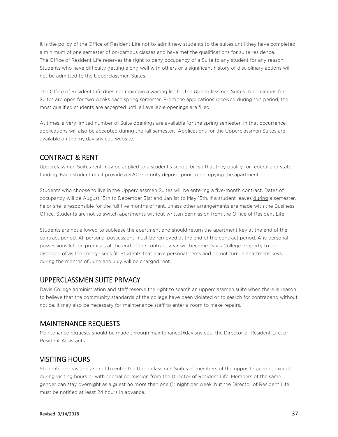It is the policy of the Office of Resident Life not to admit new students to the suites until they have completed a minimum of one semester of on-campus classes and have met the qualifications for suite residence. The Office of Resident Life reserves the right to deny occupancy of a Suite to any student for any reason. Students who have difficulty getting along well with others or a significant history of disciplinary actions will not be admitted to the Upperclassmen Suites.

The Office of Resident Life does not maintain a waiting list for the Upperclassmen Suites. Applications for Suites are open for two weeks each spring semester. From the applications received during this period, the most qualified students are accepted until all available openings are filled.

At times, a very limited number of Suite openings are available for the spring semester. In that occurrence, applications will also be accepted during the fall semester. Applications for the Upperclassmen Suites are available on the my.davisny.edu website.

# CONTRACT & RENT

Upperclassmen Suites rent may be applied to a student's school bill so that they qualify for federal and state funding. Each student must provide a \$200 security deposit prior to occupying the apartment.

Students who choose to live in the Upperclassmen Suites will be entering a five-month contract. Dates of occupancy will be August 15th to December 31st and Jan 1st to May 15th. If a student leaves during a semester, he or she is responsible for the full five months of rent, unless other arrangements are made with the Business Office. Students are not to switch apartments without written permission from the Office of Resident Life.

Students are not allowed to sublease the apartment and should return the apartment key at the end of the contract period. All personal possessions must be removed at the end of the contract period. Any personal possessions left on premises at the end of the contract year will become Davis College property to be disposed of as the college sees fit. Students that leave personal items and do not turn in apartment keys during the months of June and July will be charged rent.

#### UPPERCLASSMEN SUITE PRIVACY

Davis College administration and staff reserve the right to search an upperclassmen suite when there is reason to believe that the community standards of the college have been violated or to search for contraband without notice. It may also be necessary for maintenance staff to enter a room to make repairs.

### MAINTENANCE REQUESTS

Maintenance requests should be made through maintenance@davisny.edu, the Director of Resident Life, or Resident Assistants.

### VISITING HOURS

Students and visitors are not to enter the Upperclassmen Suites of members of the opposite gender, except during visiting hours or with special permission from the Director of Resident Life. Members of the same gender can stay overnight as a guest no more than one (1) night per week, but the Director of Resident Life must be notified at least 24 hours in advance.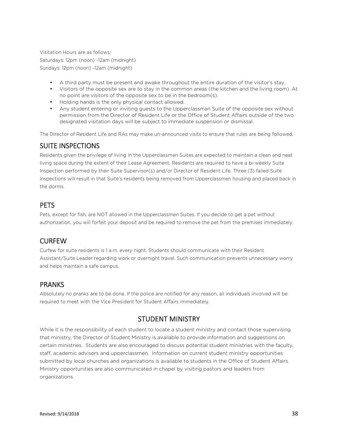Visitation Hours are as follows: Saturdays: 12pm (noon) -12am (midnight) Sundays: 12pm (noon) -12am (midnight)

- A third party must be present and awake throughout the entire duration of the visitor's stay.
- Visitors of the opposite sex are to stay in the common areas (the kitchen and the living room). At no point are visitors of the opposite sex to be in the bedroom(s).
- Holding hands is the only physical contact allowed.
- Any student entering or inviting guests to the Upperclassman Suite of the opposite sex without permission from the Director of Resident Life or the Office of Student Affairs outside of the two designated visitation days will be subject to immediate suspension or dismissal.

The Director of Resident Life and RAs may make un-announced visits to ensure that rules are being followed.

# SUITE INSPECTIONS

Residents given the privilege of living in the Upperclassmen Suites are expected to maintain a clean and neat living space during the extent of their Lease Agreement. Residents are required to have a bi-weekly Suite Inspection performed by their Suite Supervisor(s) and/or Director of Resident Life. Three (3) failed Suite Inspections will result in that Suite's residents being removed from Upperclassmen housing and placed back in the dorms.

# **PFTS**

Pets, except for fish, are NOT allowed in the Upperclassmen Suites. If you decide to get a pet without authorization, you will forfeit your deposit and be required to remove the pet from the premises immediately.

# CURFEW

Curfew for suite residents is 1 a.m. every night. Students should communicate with their Resident Assistant/Suite Leader regarding work or overnight travel. Such communication prevents unnecessary worry and helps maintain a safe campus.

# PRANKS

Absolutely no pranks are to be done. If the police are notified for any reason, all individuals involved will be required to meet with the Vice President for Student Affairs immediately.

# STUDENT MINISTRY

While it is the responsibility of each student to locate a student ministry and contact those supervising that ministry, the Director of Student Ministry is available to provide information and suggestions on certain ministries. Students are also encouraged to discuss potential student ministries with the faculty, staff, academic advisors and upperclassmen. Information on current student ministry opportunities submitted by local churches and organizations is available to students in the Office of Student Affairs. Ministry opportunities are also communicated in chapel by visiting pastors and leaders from organizations.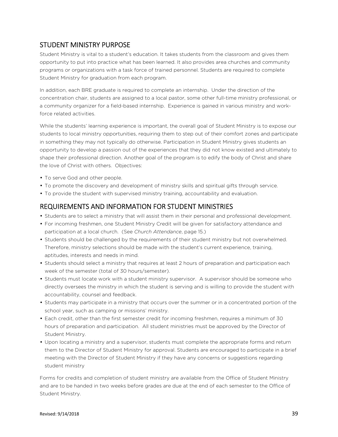# STUDENT MINISTRY PURPOSE

Student Ministry is vital to a student's education. It takes students from the classroom and gives them opportunity to put into practice what has been learned. It also provides area churches and community programs or organizations with a task force of trained personnel. Students are required to complete Student Ministry for graduation from each program.

In addition, each BRE graduate is required to complete an internship. Under the direction of the concentration chair, students are assigned to a local pastor, some other full-time ministry professional, or a community organizer for a field-based internship. Experience is gained in various ministry and workforce related activities.

While the students' learning experience is important, the overall goal of Student Ministry is to expose our students to local ministry opportunities, requiring them to step out of their comfort zones and participate in something they may not typically do otherwise. Participation in Student Ministry gives students an opportunity to develop a passion out of the experiences that they did not know existed and ultimately to shape their professional direction. Another goal of the program is to edify the body of Christ and share the love of Christ with others. Objectives:

- To serve God and other people.
- To promote the discovery and development of ministry skills and spiritual gifts through service.
- To provide the student with supervised ministry training, accountability and evaluation.

# REQUIREMENTS AND INFORMATION FOR STUDENT MINISTRIES

- Students are to select a ministry that will assist them in their personal and professional development.
- For incoming freshmen, one Student Ministry Credit will be given for satisfactory attendance and participation at a local church. (See *Church Attendance*, page 15.)
- Students should be challenged by the requirements of their student ministry but not overwhelmed. Therefore, ministry selections should be made with the student's current experience, training, aptitudes, interests and needs in mind.
- Students should select a ministry that requires at least 2 hours of preparation and participation each week of the semester (total of 30 hours/semester).
- Students must locate work with a student ministry supervisor. A supervisor should be someone who directly oversees the ministry in which the student is serving and is willing to provide the student with accountability, counsel and feedback.
- Students may participate in a ministry that occurs over the summer or in a concentrated portion of the school year, such as camping or missions' ministry.
- Each credit, other than the first semester credit for incoming freshmen, requires a minimum of 30 hours of preparation and participation. All student ministries must be approved by the Director of Student Ministry.
- Upon locating a ministry and a supervisor, students must complete the appropriate forms and return them to the Director of Student Ministry for approval. Students are encouraged to participate in a brief meeting with the Director of Student Ministry if they have any concerns or suggestions regarding student ministry

Forms for credits and completion of student ministry are available from the Office of Student Ministry and are to be handed in two weeks before grades are due at the end of each semester to the Office of Student Ministry.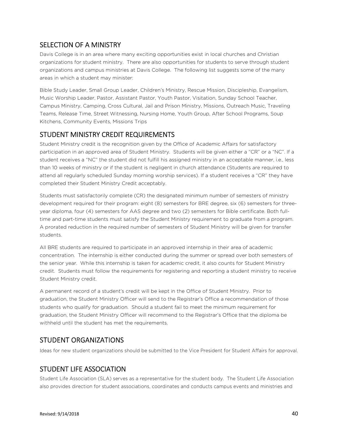# SELECTION OF A MINISTRY

Davis College is in an area where many exciting opportunities exist in local churches and Christian organizations for student ministry. There are also opportunities for students to serve through student organizations and campus ministries at Davis College. The following list suggests some of the many areas in which a student may minister:

Bible Study Leader, Small Group Leader, Children's Ministry, Rescue Mission, Discipleship, Evangelism, Music Worship Leader, Pastor, Assistant Pastor, Youth Pastor, Visitation, Sunday School Teacher, Campus Ministry, Camping, Cross Cultural, Jail and Prison Ministry, Missions, Outreach Music, Traveling Teams, Release Time, Street Witnessing, Nursing Home, Youth Group, After School Programs, Soup Kitchens, Community Events, Missions Trips

# STUDENT MINISTRY CREDIT REQUIREMENTS

Student Ministry credit is the recognition given by the Office of Academic Affairs for satisfactory participation in an approved area of Student Ministry. Students will be given either a "CR" or a "NC". If a student receives a "NC" the student did not fulfill his assigned ministry in an acceptable manner, i.e., less than 10 weeks of ministry or if the student is negligent in church attendance (Students are required to attend all regularly scheduled Sunday morning worship services). If a student receives a "CR" they have completed their Student Ministry Credit acceptably.

Students must satisfactorily complete (CR) the designated minimum number of semesters of ministry development required for their program: eight (8) semesters for BRE degree, six (6) semesters for threeyear diploma, four (4) semesters for AAS degree and two (2) semesters for Bible certificate. Both fulltime and part-time students must satisfy the Student Ministry requirement to graduate from a program. A prorated reduction in the required number of semesters of Student Ministry will be given for transfer students.

All BRE students are required to participate in an approved internship in their area of academic concentration. The internship is either conducted during the summer or spread over both semesters of the senior year. While this internship is taken for academic credit, it also counts for Student Ministry credit. Students must follow the requirements for registering and reporting a student ministry to receive Student Ministry credit.

A permanent record of a student's credit will be kept in the Office of Student Ministry. Prior to graduation, the Student Ministry Officer will send to the Registrar's Office a recommendation of those students who qualify for graduation. Should a student fail to meet the minimum requirement for graduation, the Student Ministry Officer will recommend to the Registrar's Office that the diploma be withheld until the student has met the requirements.

# STUDENT ORGANIZATIONS

Ideas for new student organizations should be submitted to the Vice President for Student Affairs for approval.

# STUDENT LIFE ASSOCIATION

Student Life Association (SLA) serves as a representative for the student body. The Student Life Association also provides direction for student associations, coordinates and conducts campus events and ministries and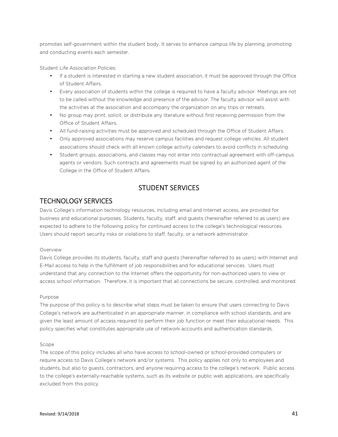promotes self-government within the student body. It serves to enhance campus life by planning, promoting and conducting events each semester.

Student Life Association Policies:

- If a student is interested in starting a new student association, it must be approved through the Office of Student Affairs.
- Every association of students within the college is required to have a faculty advisor. Meetings are not to be called without the knowledge and presence of the advisor. The faculty advisor will assist with the activities at the association and accompany the organization on any trips or retreats.
- No group may print, solicit, or distribute any literature without first receiving permission from the Office of Student Affairs.
- All fund-raising activities must be approved and scheduled through the Office of Student Affairs.
- Only approved associations may reserve campus facilities and request college vehicles. All student associations should check with all known college activity calendars to avoid conflicts in scheduling.
- Student groups, associations, and classes may not enter into contractual agreement with off-campus agents or vendors. Such contracts and agreements must be signed by an authorized agent of the College in the Office of Student Affairs.

#### STUDENT SERVICES

#### TECHNOLOGY SERVICES

Davis College's information technology resources, including email and Internet access, are provided for business and educational purposes. Students, faculty, staff, and guests (hereinafter referred to as users) are expected to adhere to the following policy for continued access to the college's technological resources. Users should report security risks or violations to staff, faculty, or a network administrator.

#### Overview

Davis College provides its students, faculty, staff and guests (hereinafter referred to as users) with Internet and E-Mail access to help in the fulfillment of job responsibilities and for educational services. Users must understand that any connection to the Internet offers the opportunity for non-authorized users to view or access school information. Therefore, it is important that all connections be secure, controlled, and monitored.

#### Purpose

The purpose of this policy is to describe what steps must be taken to ensure that users connecting to Davis College's network are authenticated in an appropriate manner, in compliance with school standards, and are given the least amount of access required to perform their job function or meet their educational needs. This policy specifies what constitutes appropriate use of network accounts and authentication standards.

#### Scope

The scope of this policy includes all who have access to school-owned or school-provided computers or require access to Davis College's network and/or systems. This policy applies not only to employees and students, but also to guests, contractors, and anyone requiring access to the college's network. Public access to the college's externally-reachable systems, such as its website or public web applications, are specifically excluded from this policy.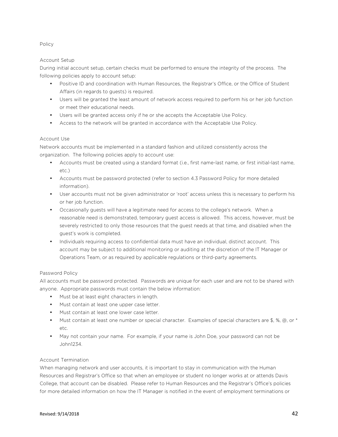#### Policy

#### Account Setup

During initial account setup, certain checks must be performed to ensure the integrity of the process. The following policies apply to account setup:

- Positive ID and coordination with Human Resources, the Registrar's Office, or the Office of Student Affairs (in regards to guests) is required.
- Users will be granted the least amount of network access required to perform his or her job function or meet their educational needs.
- Users will be granted access only if he or she accepts the Acceptable Use Policy.
- Access to the network will be granted in accordance with the Acceptable Use Policy.

#### Account Use

Network accounts must be implemented in a standard fashion and utilized consistently across the organization. The following policies apply to account use:

- Accounts must be created using a standard format (i.e., first name-last name, or first initial-last name,  $\rho \uparrow c$ )
- Accounts must be password protected (refer to section 4.3 Password Policy for more detailed information).
- User accounts must not be given administrator or 'root' access unless this is necessary to perform his or her job function.
- Occasionally guests will have a legitimate need for access to the college's network. When a reasonable need is demonstrated, temporary guest access is allowed. This access, however, must be severely restricted to only those resources that the guest needs at that time, and disabled when the guest's work is completed.
- Individuals requiring access to confidential data must have an individual, distinct account. This account may be subject to additional monitoring or auditing at the discretion of the IT Manager or Operations Team, or as required by applicable regulations or third-party agreements.

#### Password Policy

All accounts must be password protected. Passwords are unique for each user and are not to be shared with anyone. Appropriate passwords must contain the below information:

- Must be at least eight characters in length.
- Must contain at least one upper case letter.
- Must contain at least one lower case letter.
- Must contain at least one number or special character. Examples of special characters are \$, %, @, or \* etc.
- May not contain your name. For example, if your name is John Doe, your password can not be John1234.

#### Account Termination

When managing network and user accounts, it is important to stay in communication with the Human Resources and Registrar's Office so that when an employee or student no longer works at or attends Davis College, that account can be disabled. Please refer to Human Resources and the Registrar's Office's policies for more detailed information on how the IT Manager is notified in the event of employment terminations or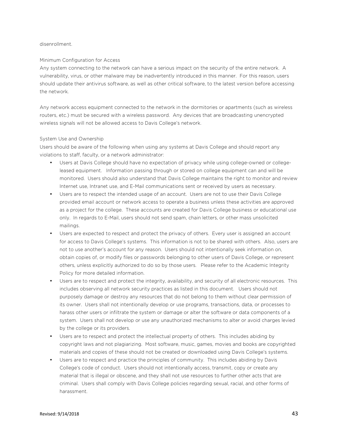#### disenrollment.

#### Minimum Configuration for Access

Any system connecting to the network can have a serious impact on the security of the entire network. A vulnerability, virus, or other malware may be inadvertently introduced in this manner. For this reason, users should update their antivirus software, as well as other critical software, to the latest version before accessing the network.

Any network access equipment connected to the network in the dormitories or apartments (such as wireless routers, etc.) must be secured with a wireless password. Any devices that are broadcasting unencrypted wireless signals will not be allowed access to Davis College's network.

#### System Use and Ownership

Users should be aware of the following when using any systems at Davis College and should report any violations to staff, faculty, or a network administrator:

- Users at Davis College should have no expectation of privacy while using college-owned or collegeleased equipment. Information passing through or stored on college equipment can and will be monitored. Users should also understand that Davis College maintains the right to monitor and review Internet use, Intranet use, and E-Mail communications sent or received by users as necessary.
- Users are to respect the intended usage of an account. Users are not to use their Davis College provided email account or network access to operate a business unless these activities are approved as a project for the college. These accounts are created for Davis College business or educational use only. In regards to E-Mail, users should not send spam, chain letters, or other mass unsolicited mailings.
- Users are expected to respect and protect the privacy of others. Every user is assigned an account for access to Davis College's systems. This information is not to be shared with others. Also, users are not to use another's account for any reason. Users should not intentionally seek information on, obtain copies of, or modify files or passwords belonging to other users of Davis College, or represent others, unless explicitly authorized to do so by those users. Please refer to the Academic Integrity Policy for more detailed information.
- Users are to respect and protect the integrity, availability, and security of all electronic resources. This includes observing all network security practices as listed in this document. Users should not purposely damage or destroy any resources that do not belong to them without clear permission of its owner. Users shall not intentionally develop or use programs, transactions, data, or processes to harass other users or infiltrate the system or damage or alter the software or data components of a system. Users shall not develop or use any unauthorized mechanisms to alter or avoid charges levied by the college or its providers.
- Users are to respect and protect the intellectual property of others. This includes abiding by copyright laws and not plagiarizing. Most software, music, games, movies and books are copyrighted materials and copies of these should not be created or downloaded using Davis College's systems.
- Users are to respect and practice the principles of community. This includes abiding by Davis College's code of conduct. Users should not intentionally access, transmit, copy or create any material that is illegal or obscene, and they shall not use resources to further other acts that are criminal. Users shall comply with Davis College policies regarding sexual, racial, and other forms of harassment.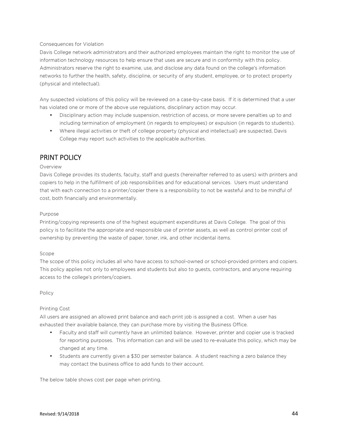#### Consequences for Violation

Davis College network administrators and their authorized employees maintain the right to monitor the use of information technology resources to help ensure that uses are secure and in conformity with this policy. Administrators reserve the right to examine, use, and disclose any data found on the college's information networks to further the health, safety, discipline, or security of any student, employee, or to protect property (physical and intellectual).

Any suspected violations of this policy will be reviewed on a case-by-case basis. If it is determined that a user has violated one or more of the above use regulations, disciplinary action may occur.

- Disciplinary action may include suspension, restriction of access, or more severe penalties up to and including termination of employment (in regards to employees) or expulsion (in regards to students).
- Where illegal activities or theft of college property (physical and intellectual) are suspected, Davis College may report such activities to the applicable authorities.

#### PRINT POLICY

#### Overview

Davis College provides its students, faculty, staff and guests (hereinafter referred to as users) with printers and copiers to help in the fulfillment of job responsibilities and for educational services. Users must understand that with each connection to a printer/copier there is a responsibility to not be wasteful and to be mindful of cost, both financially and environmentally.

#### Purpose

Printing/copying represents one of the highest equipment expenditures at Davis College. The goal of this policy is to facilitate the appropriate and responsible use of printer assets, as well as control printer cost of ownership by preventing the waste of paper, toner, ink, and other incidental items.

#### Scope

The scope of this policy includes all who have access to school-owned or school-provided printers and copiers. This policy applies not only to employees and students but also to guests, contractors, and anyone requiring access to the college's printers/copiers.

Policy

#### Printing Cost

All users are assigned an allowed print balance and each print job is assigned a cost. When a user has exhausted their available balance, they can purchase more by visiting the Business Office.

- Faculty and staff will currently have an unlimited balance. However, printer and copier use is tracked for reporting purposes. This information can and will be used to re-evaluate this policy, which may be changed at any time.
- Students are currently given a \$30 per semester balance. A student reaching a zero balance they may contact the business office to add funds to their account.

The below table shows cost per page when printing.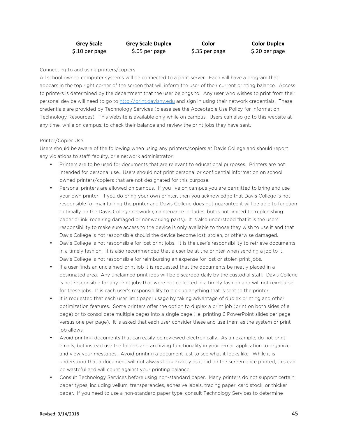| <b>Grey Scale</b> | <b>Grey Scale Duplex</b> | Color          | <b>Color Duplex</b> |
|-------------------|--------------------------|----------------|---------------------|
| \$.10 per page    | \$.05 per page           | \$.35 per page | \$.20 per page      |

#### Connecting to and using printers/copiers

All school owned computer systems will be connected to a print server. Each will have a program that appears in the top right corner of the screen that will inform the user of their current printing balance. Access to printers is determined by the department that the user belongs to. Any user who wishes to print from their personal device will need to go to http://print.davisny.edu and sign in using their network credentials. These credentials are provided by Technology Services (please see the Acceptable Use Policy for Information Technology Resources). This website is available only while on campus. Users can also go to this website at any time, while on campus, to check their balance and review the print jobs they have sent.

#### Printer/Copier Use

Users should be aware of the following when using any printers/copiers at Davis College and should report any violations to staff, faculty, or a network administrator:

- Printers are to be used for documents that are relevant to educational purposes. Printers are not intended for personal use. Users should not print personal or confidential information on school owned printers/copiers that are not designated for this purpose.
- Personal printers are allowed on campus. If you live on campus you are permitted to bring and use your own printer. If you do bring your own printer, then you acknowledge that Davis College is not responsible for maintaining the printer and Davis College does not guarantee it will be able to function optimally on the Davis College network (maintenance includes, but is not limited to, replenishing paper or ink, repairing damaged or nonworking parts). It is also understood that it is the users' responsibility to make sure access to the device is only available to those they wish to use it and that Davis College is not responsible should the device become lost, stolen, or otherwise damaged.
- Davis College is not responsible for lost print jobs. It is the user's responsibility to retrieve documents in a timely fashion. It is also recommended that a user be at the printer when sending a job to it. Davis College is not responsible for reimbursing an expense for lost or stolen print jobs.
- If a user finds an unclaimed print job it is requested that the documents be neatly placed in a designated area. Any unclaimed print jobs will be discarded daily by the custodial staff. Davis College is not responsible for any print jobs that were not collected in a timely fashion and will not reimburse for these jobs. It is each user's responsibility to pick up anything that is sent to the printer.
- It is requested that each user limit paper usage by taking advantage of duplex printing and other optimization features. Some printers offer the option to duplex a print job (print on both sides of a page) or to consolidate multiple pages into a single page (i.e. printing 6 PowerPoint slides per page versus one per page). It is asked that each user consider these and use them as the system or print job allows.
- Avoid printing documents that can easily be reviewed electronically. As an example, do not print emails, but instead use the folders and archiving functionality in your e-mail application to organize and view your messages. Avoid printing a document just to see what it looks like. While it is understood that a document will not always look exactly as it did on the screen once printed, this can be wasteful and will count against your printing balance.
- Consult Technology Services before using non-standard paper. Many printers do not support certain paper types, including vellum, transparencies, adhesive labels, tracing paper, card stock, or thicker paper. If you need to use a non-standard paper type, consult Technology Services to determine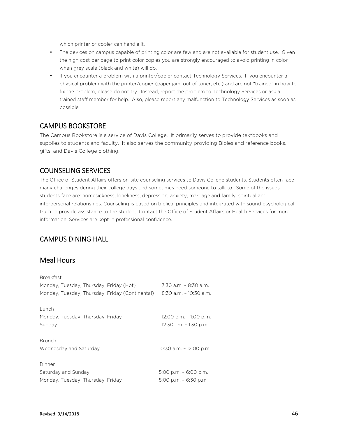which printer or copier can handle it.

- The devices on campus capable of printing color are few and are not available for student use. Given the high cost per page to print color copies you are strongly encouraged to avoid printing in color when grey scale (black and white) will do.
- If you encounter a problem with a printer/copier contact Technology Services. If you encounter a physical problem with the printer/copier (paper jam, out of toner, etc.) and are not "trained" in how to fix the problem, please do not try. Instead, report the problem to Technology Services or ask a trained staff member for help. Also, please report any malfunction to Technology Services as soon as possible.

#### CAMPUS BOOKSTORE

The Campus Bookstore is a service of Davis College. It primarily serves to provide textbooks and supplies to students and faculty. It also serves the community providing Bibles and reference books, gifts, and Davis College clothing.

#### COUNSELING SERVICES

The Office of Student Affairs offers on-site counseling services to Davis College students. Students often face many challenges during their college days and sometimes need someone to talk to. Some of the issues students face are: homesickness, loneliness, depression, anxiety, marriage and family, spiritual and interpersonal relationships. Counseling is based on biblical principles and integrated with sound psychological truth to provide assistance to the student. Contact the Office of Student Affairs or Health Services for more information. Services are kept in professional confidence.

### CAMPUS DINING HALL

#### Meal Hours

| <b>Breakfast</b>                                |                           |
|-------------------------------------------------|---------------------------|
| Monday, Tuesday, Thursday, Friday (Hot)         | 7:30 a.m. - 8:30 a.m.     |
| Monday, Tuesday, Thursday, Friday (Continental) | 8:30 a.m. - 10:30 a.m.    |
| Lunch                                           |                           |
| Monday, Tuesday, Thursday, Friday               | $12:00$ p.m. $-1:00$ p.m. |
| Sunday                                          | 12:30p.m. - 1:30 p.m.     |
| <b>Brunch</b>                                   |                           |
| Wednesday and Saturday                          | 10:30 a.m. - 12:00 p.m.   |
| Dinner                                          |                           |
| Saturday and Sunday                             | $5:00$ p.m. $-6:00$ p.m.  |
| Monday, Tuesday, Thursday, Friday               | $5:00$ p.m. $-6:30$ p.m.  |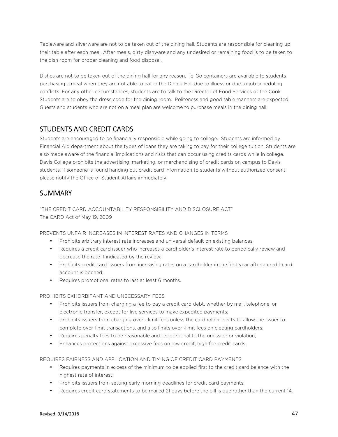Tableware and silverware are not to be taken out of the dining hall. Students are responsible for cleaning up their table after each meal. After meals, dirty dishware and any undesired or remaining food is to be taken to the dish room for proper cleaning and food disposal.

Dishes are not to be taken out of the dining hall for any reason. To-Go containers are available to students purchasing a meal when they are not able to eat in the Dining Hall due to illness or due to job scheduling conflicts. For any other circumstances, students are to talk to the Director of Food Services or the Cook. Students are to obey the dress code for the dining room. Politeness and good table manners are expected. Guests and students who are not on a meal plan are welcome to purchase meals in the dining hall.

### STUDENTS AND CREDIT CARDS

Students are encouraged to be financially responsible while going to college. Students are informed by Financial Aid department about the types of loans they are taking to pay for their college tuition. Students are also made aware of the financial implications and risks that can occur using credits cards while in college. Davis College prohibits the advertising, marketing, or merchandising of credit cards on campus to Davis students. If someone is found handing out credit card information to students without authorized consent, please notify the Office of Student Affairs immediately.

### **SUMMARY**

"THE CREDIT CARD ACCOUNTABILITY RESPONSIBILITY AND DISCLOSURE ACT" The CARD Act of May 19, 2009

PREVENTS UNFAIR INCREASES IN INTEREST RATES AND CHANGES IN TERMS

- Prohibits arbitrary interest rate increases and universal default on existing balances;
- Requires a credit card issuer who increases a cardholder's interest rate to periodically review and decrease the rate if indicated by the review;
- Prohibits credit card issuers from increasing rates on a cardholder in the first year after a credit card account is opened;
- Requires promotional rates to last at least 6 months.

#### PROHIBITS EXHORBITANT AND UNECESSARY FEES

- Prohibits issuers from charging a fee to pay a credit card debt, whether by mail, telephone, or electronic transfer, except for live services to make expedited payments;
- Prohibits issuers from charging over limit fees unless the cardholder elects to allow the issuer to complete over-limit transactions, and also limits over ‐limit fees on electing cardholders;
- Requires penalty fees to be reasonable and proportional to the omission or violation;
- Enhances protections against excessive fees on low‐credit, high‐fee credit cards.

REQUIRES FAIRNESS AND APPLICATION AND TIMING OF CREDIT CARD PAYMENTS

- Requires payments in excess of the minimum to be applied first to the credit card balance with the highest rate of interest;
- Prohibits issuers from setting early morning deadlines for credit card payments;
- Requires credit card statements to be mailed 21 days before the bill is due rather than the current 14.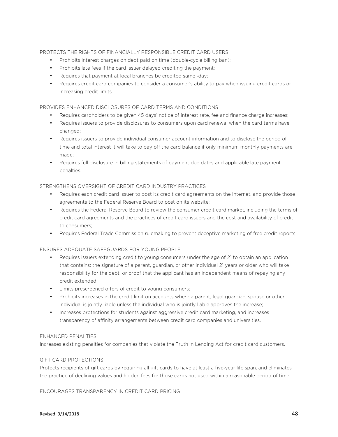#### PROTECTS THE RIGHTS OF FINANCIALLY RESPONSIBLE CREDIT CARD USERS

- Prohibits interest charges on debt paid on time (double-cycle billing ban);
- Prohibits late fees if the card issuer delayed crediting the payment;
- Requires that payment at local branches be credited same ‐day;
- Requires credit card companies to consider a consumer's ability to pay when issuing credit cards or increasing credit limits.

#### PROVIDES ENHANCED DISCLOSURES OF CARD TERMS AND CONDITIONS

- Requires cardholders to be given 45 days' notice of interest rate, fee and finance charge increases;
- Requires issuers to provide disclosures to consumers upon card renewal when the card terms have changed;
- Requires issuers to provide individual consumer account information and to disclose the period of time and total interest it will take to pay off the card balance if only minimum monthly payments are made;
- Requires full disclosure in billing statements of payment due dates and applicable late payment penalties.

#### STRENGTHENS OVERSIGHT OF CREDIT CARD INDUSTRY PRACTICES

- Requires each credit card issuer to post its credit card agreements on the Internet, and provide those agreements to the Federal Reserve Board to post on its website;
- Requires the Federal Reserve Board to review the consumer credit card market, including the terms of credit card agreements and the practices of credit card issuers and the cost and availability of credit to consumers;
- Requires Federal Trade Commission rulemaking to prevent deceptive marketing of free credit reports.

#### ENSURES ADEQUATE SAFEGUARDS FOR YOUNG PEOPLE

- Requires issuers extending credit to young consumers under the age of 21 to obtain an application that contains: the signature of a parent, guardian, or other individual 21 years or older who will take responsibility for the debt; or proof that the applicant has an independent means of repaying any credit extended;
- Limits prescreened offers of credit to young consumers;
- Prohibits increases in the credit limit on accounts where a parent, legal guardian, spouse or other individual is jointly liable unless the individual who is jointly liable approves the increase;
- Increases protections for students against aggressive credit card marketing, and increases transparency of affinity arrangements between credit card companies and universities.

#### ENHANCED PENALTIES

Increases existing penalties for companies that violate the Truth in Lending Act for credit card customers.

#### GIFT CARD PROTECTIONS

Protects recipients of gift cards by requiring all gift cards to have at least a five-year life span, and eliminates the practice of declining values and hidden fees for those cards not used within a reasonable period of time.

ENCOURAGES TRANSPARENCY IN CREDIT CARD PRICING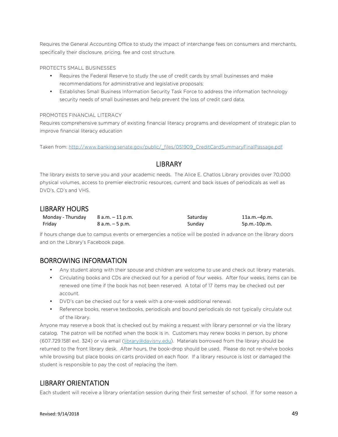Requires the General Accounting Office to study the impact of interchange fees on consumers and merchants, specifically their disclosure, pricing, fee and cost structure.

#### PROTECTS SMALL BUSINESSES

- Requires the Federal Reserve to study the use of credit cards by small businesses and make recommendations for administrative and legislative proposals;
- Establishes Small Business Information Security Task Force to address the information technology security needs of small businesses and help prevent the loss of credit card data.

#### PROMOTES FINANCIAL LITERACY

Requires comprehensive summary of existing financial literacy programs and development of strategic plan to improve financial literacy education

Taken from: http://www.banking.senate.gov/public/\_files/051909\_CreditCardSummaryFinalPassage.pdf

#### **LIBRARY**

The library exists to serve you and your academic needs. The Alice E. Chatlos Library provides over 70,000 physical volumes, access to premier electronic resources, current and back issues of periodicals as well as DVD's, CD's and VHS.

#### LIBRARY HOURS

| Monday - Thursday $8$ a.m. $-11$ p.m. |                   | Saturday | 11a.m.–4p.m. |
|---------------------------------------|-------------------|----------|--------------|
| Friday                                | $8 a.m. - 5 p.m.$ | Sunday   | 5p.m.-10p.m. |

If hours change due to campus events or emergencies a notice will be posted in advance on the library doors and on the Library's Facebook page.

#### BORROWING INFORMATION

- Any student along with their spouse and children are welcome to use and check out library materials.
- Circulating books and CDs are checked out for a period of four weeks. After four weeks, items can be renewed one time if the book has not been reserved. A total of 17 items may be checked out per account.
- DVD's can be checked out for a week with a one-week additional renewal.
- Reference books, reserve textbooks, periodicals and bound periodicals do not typically circulate out of the library.

Anyone may reserve a book that is checked out by making a request with library personnel or via the library catalog. The patron will be notified when the book is in. Customers may renew books in person, by phone (607.729.1581 ext. 324) or via email (library@davisny.edu). Materials borrowed from the library should be returned to the front library desk. After hours, the book-drop should be used. Please do not re-shelve books while browsing but place books on carts provided on each floor. If a library resource is lost or damaged the student is responsible to pay the cost of replacing the item.

### LIBRARY ORIENTATION

Each student will receive a library orientation session during their first semester of school. If for some reason a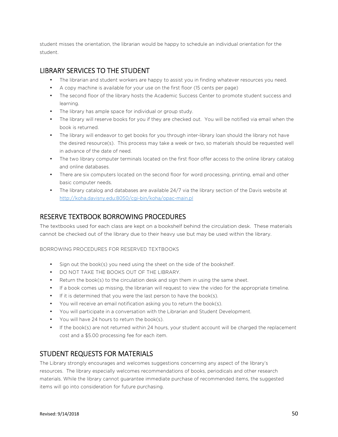student misses the orientation, the librarian would be happy to schedule an individual orientation for the student.

#### LIBRARY SERVICES TO THE STUDENT

- The librarian and student workers are happy to assist you in finding whatever resources you need.
- A copy machine is available for your use on the first floor (15 cents per page)
- The second floor of the library hosts the Academic Success Center to promote student success and learning.
- The library has ample space for individual or group study.
- The library will reserve books for you if they are checked out. You will be notified via email when the book is returned.
- The library will endeavor to get books for you through inter-library loan should the library not have the desired resource(s). This process may take a week or two, so materials should be requested well in advance of the date of need.
- The two library computer terminals located on the first floor offer access to the online library catalog and online databases.
- There are six computers located on the second floor for word processing, printing, email and other basic computer needs.
- The library catalog and databases are available 24/7 via the library section of the Davis website at http://koha.davisny.edu:8050/cgi-bin/koha/opac-main.pl

#### RESERVE TEXTBOOK BORROWING PROCEDURES

The textbooks used for each class are kept on a bookshelf behind the circulation desk. These materials cannot be checked out of the library due to their heavy use but may be used within the library.

#### BORROWING PROCEDURES FOR RESERVED TEXTBOOKS

- Sign out the book(s) you need using the sheet on the side of the bookshelf.
- DO NOT TAKE THE BOOKS OUT OF THE LIBRARY.
- Return the book(s) to the circulation desk and sign them in using the same sheet.
- If a book comes up missing, the librarian will request to view the video for the appropriate timeline.
- If it is determined that you were the last person to have the book(s).
- You will receive an email notification asking you to return the book(s).
- You will participate in a conversation with the Librarian and Student Development.
- You will have 24 hours to return the book(s).
- If the book(s) are not returned within 24 hours, your student account will be charged the replacement cost and a \$5.00 processing fee for each item.

#### STUDENT REQUESTS FOR MATERIALS

The Library strongly encourages and welcomes suggestions concerning any aspect of the library's resources. The library especially welcomes recommendations of books, periodicals and other research materials. While the library cannot guarantee immediate purchase of recommended items, the suggested items will go into consideration for future purchasing.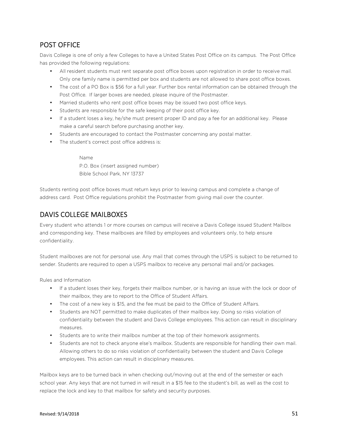# POST OFFICE

Davis College is one of only a few Colleges to have a United States Post Office on its campus. The Post Office has provided the following regulations:

- All resident students must rent separate post office boxes upon registration in order to receive mail. Only one family name is permitted per box and students are not allowed to share post office boxes.
- The cost of a PO Box is \$56 for a full year. Further box rental information can be obtained through the Post Office. If larger boxes are needed, please inquire of the Postmaster.
- Married students who rent post office boxes may be issued two post office keys.
- Students are responsible for the safe keeping of their post office key.
- If a student loses a key, he/she must present proper ID and pay a fee for an additional key. Please make a careful search before purchasing another key.
- Students are encouraged to contact the Postmaster concerning any postal matter.
- The student's correct post office address is:

Name P.O. Box (insert assigned number) Bible School Park, NY 13737

Students renting post office boxes must return keys prior to leaving campus and complete a change of address card. Post Office regulations prohibit the Postmaster from giving mail over the counter.

# DAVIS COLLEGE MAILBOXES

Every student who attends 1 or more courses on campus will receive a Davis College issued Student Mailbox and corresponding key. These mailboxes are filled by employees and volunteers only, to help ensure confidentiality.

Student mailboxes are not for personal use. Any mail that comes through the USPS is subject to be returned to sender. Students are required to open a USPS mailbox to receive any personal mail and/or packages.

Rules and Information

- If a student loses their key, forgets their mailbox number, or is having an issue with the lock or door of their mailbox, they are to report to the Office of Student Affairs.
- The cost of a new key is \$15, and the fee must be paid to the Office of Student Affairs.
- Students are NOT permitted to make duplicates of their mailbox key. Doing so risks violation of confidentiality between the student and Davis College employees. This action can result in disciplinary measures.
- Students are to write their mailbox number at the top of their homework assignments.
- Students are not to check anyone else's mailbox. Students are responsible for handling their own mail. Allowing others to do so risks violation of confidentiality between the student and Davis College employees. This action can result in disciplinary measures.

Mailbox keys are to be turned back in when checking out/moving out at the end of the semester or each school year. Any keys that are not turned in will result in a \$15 fee to the student's bill, as well as the cost to replace the lock and key to that mailbox for safety and security purposes.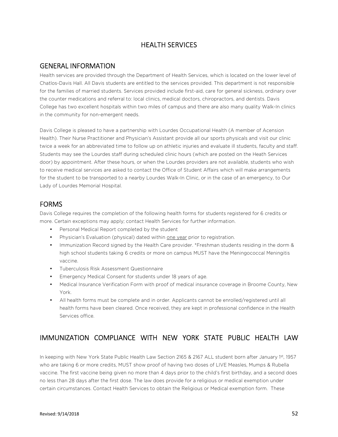# HEALTH SERVICES

#### GENERAL INFORMATION

Health services are provided through the Department of Health Services, which is located on the lower level of Chatlos-Davis Hall. All Davis students are entitled to the services provided. This department is not responsible for the families of married students. Services provided include first-aid, care for general sickness, ordinary over the counter medications and referral to: local clinics, medical doctors, chiropractors, and dentists. Davis College has two excellent hospitals within two miles of campus and there are also many quality Walk-In clinics in the community for non-emergent needs.

Davis College is pleased to have a partnership with Lourdes Occupational Health (A member of Acension Health). Their Nurse Practitioner and Physician's Assistant provide all our sports physicals and visit our clinic twice a week for an abbreviated time to follow up on athletic injuries and evaluate ill students, faculty and staff. Students may see the Lourdes staff during scheduled clinic hours (which are posted on the Heath Services door) by appointment. After these hours, or when the Lourdes providers are not available, students who wish to receive medical services are asked to contact the Office of Student Affairs which will make arrangements for the student to be transported to a nearby Lourdes Walk-In Clinic, or in the case of an emergency, to Our Lady of Lourdes Memorial Hospital.

# FORMS

Davis College requires the completion of the following health forms for students registered for 6 credits or more. Certain exceptions may apply; contact Health Services for further information.

- Personal Medical Report completed by the student
- Physician's Evaluation (physical) dated within one year prior to registration.
- Immunization Record signed by the Health Care provider. \*Freshman students residing in the dorm & high school students taking 6 credits or more on campus MUST have the Meningococcal Meningitis vaccine.
- Tuberculosis Risk Assessment Questionnaire
- Emergency Medical Consent for students under 18 years of age.
- Medical Insurance Verification Form with proof of medical insurance coverage in Broome County, New York.
- All health forms must be complete and in order. Applicants cannot be enrolled/registered until all health forms have been cleared. Once received, they are kept in professional confidence in the Health Services office.

# IMMUNIZATION COMPLIANCE WITH NEW YORK STATE PUBLIC HEALTH LAW

In keeping with New York State Public Health Law Section 2165 & 2167 ALL student born after January 1st, 1957 who are taking 6 or more credits, MUST show proof of having two doses of LIVE Measles, Mumps & Rubella vaccine. The first vaccine being given no more than 4 days prior to the child's first birthday, and a second does no less than 28 days after the first dose. The law does provide for a religious or medical exemption under certain circumstances. Contact Health Services to obtain the Religious or Medical exemption form. These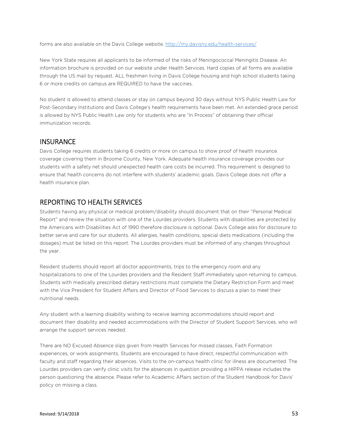forms are also available on the Davis College website. http://my.davisny.edu/health-services/

New York State requires all applicants to be informed of the risks of Meningococcal Meningitis Disease. An information brochure is provided on our website under Health Services. Hard copies of all forms are available through the US mail by request. ALL freshmen living in Davis College housing and high school students taking 6 or more credits on campus are REQUIRED to have the vaccines.

No student is allowed to attend classes or stay on campus beyond 30 days without NYS Public Health Law for Post-Secondary Institutions and Davis College's health requirements have been met. An extended grace period is allowed by NYS Public Health Law only for students who are "In Process" of obtaining their official immunization records.

#### **INSURANCE**

Davis College requires students taking 6 credits or more on campus to show proof of health insurance coverage covering them in Broome County, New York. Adequate health insurance coverage provides our students with a safety net should unexpected health care costs be incurred. This requirement is designed to ensure that health concerns do not interfere with students' academic goals. Davis College does not offer a health insurance plan.

#### REPORTING TO HEALTH SERVICES

Students having any physical or medical problem/disability should document that on their "Personal Medical Report" and review the situation with one of the Lourdes providers. Students with disabilities are protected by the Americans with Disabilities Act of 1990 therefore disclosure is optional. Davis College asks for disclosure to better serve and care for our students. All allergies, health conditions, special diets medications (including the dosages) must be listed on this report. The Lourdes providers must be informed of any changes throughout the year.

Resident students should report all doctor appointments, trips to the emergency room and any hospitalizations to one of the Lourdes providers and the Resident Staff immediately upon returning to campus. Students with medically prescribed dietary restrictions must complete the Dietary Restriction Form and meet with the Vice President for Student Affairs and Director of Food Services to discuss a plan to meet their nutritional needs.

Any student with a learning disability wishing to receive learning accommodations should report and document their disability and needed accommodations with the Director of Student Support Services, who will arrange the support services needed.

There are NO Excused Absence slips given from Health Services for missed classes, Faith Formation experiences, or work assignments. Students are encouraged to have direct, respectful communication with faculty and staff regarding their absences. Visits to the on-campus health clinic for illness are documented. The Lourdes providers can verify clinic visits for the absences in question providing a HIPPA release includes the person questioning the absence. Please refer to Academic Affairs section of the Student Handbook for Davis' policy on missing a class.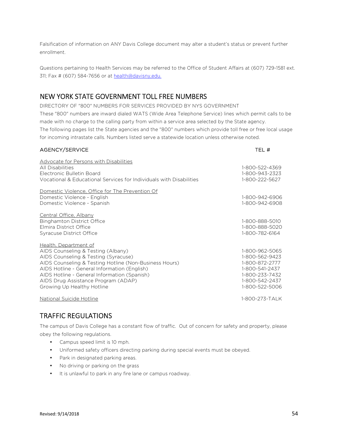Falsification of information on ANY Davis College document may alter a student's status or prevent further enrollment.

Questions pertaining to Health Services may be referred to the Office of Student Affairs at (607) 729-1581 ext. 311; Fax # (607) 584-7656 or at health@davisny,edu.

### NEW YORK STATE GOVERNMENT TOLL FREE NUMBERS

DIRECTORY OF "800" NUMBERS FOR SERVICES PROVIDED BY NYS GOVERNMENT These "800" numbers are inward dialed WATS (Wide Area Telephone Service) lines which permit calls to be made with no charge to the calling party from within a service area selected by the State agency. The following pages list the State agencies and the "800" numbers which provide toll free or free local usage for incoming intrastate calls. Numbers listed serve a statewide location unless otherwise noted.

#### AGENCY/SERVICE **TEL #**

| <b>Advocate for Persons with Disabilities</b><br>All Disabilities<br>Electronic Bulletin Board<br>Vocational & Educational Services for Individuals with Disabilities                                                                                                                                                              | 1-800-522-4369<br>1-800-943-2323<br>1-800-222-5627                                                                         |
|------------------------------------------------------------------------------------------------------------------------------------------------------------------------------------------------------------------------------------------------------------------------------------------------------------------------------------|----------------------------------------------------------------------------------------------------------------------------|
| Domestic Violence, Office for The Prevention Of<br>Domestic Violence - English<br>Domestic Violence - Spanish                                                                                                                                                                                                                      | 1-800-942-6906<br>1-800-942-6908                                                                                           |
| Central Office, Albany<br><b>Binghamton District Office</b><br><b>Elmira District Office</b><br>Syracuse District Office                                                                                                                                                                                                           | 1-800-888-5010<br>1-800-888-5020<br>1-800-782-6164                                                                         |
| Health, Department of<br>AIDS Counseling & Testing (Albany)<br>AIDS Counseling & Testing (Syracuse)<br>AIDS Counseling & Testing Hotline (Non-Business Hours)<br>AIDS Hotline - General Information (English)<br>AIDS Hotline - General Information (Spanish)<br>AIDS Drug Assistance Program (ADAP)<br>Growing Up Healthy Hotline | 1-800-962-5065<br>1-800-562-9423<br>1-800-872-2777<br>1-800-541-2437<br>1-800-233-7432<br>1-800-542-2437<br>1-800-522-5006 |
| National Suicide Hotline                                                                                                                                                                                                                                                                                                           | 1-800-273-TALK                                                                                                             |

### TRAFFIC REGULATIONS

The campus of Davis College has a constant flow of traffic. Out of concern for safety and property, please obey the following regulations.

- Campus speed limit is 10 mph.
- Uniformed safety officers directing parking during special events must be obeyed.
- Park in designated parking areas.
- No driving or parking on the grass
- It is unlawful to park in any fire lane or campus roadway.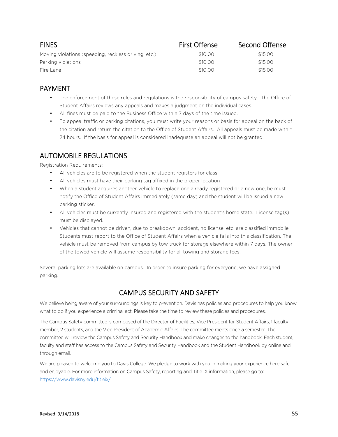| <b>FINES</b>                                         | <b>First Offense</b> | Second Offense |
|------------------------------------------------------|----------------------|----------------|
| Moving violations (speeding, reckless driving, etc.) | \$10.00              | \$15.00        |
| Parking violations                                   | \$10.00              | \$15.00        |
| Fire Lane                                            | \$10.00              | \$15.00        |

### PAYMENT

- The enforcement of these rules and regulations is the responsibility of campus safety. The Office of Student Affairs reviews any appeals and makes a judgment on the individual cases.
- All fines must be paid to the Business Office within 7 days of the time issued.
- To appeal traffic or parking citations, you must write your reasons or basis for appeal on the back of the citation and return the citation to the Office of Student Affairs. All appeals must be made within 24 hours. If the basis for appeal is considered inadequate an appeal will not be granted.

# AUTOMOBILE REGULATIONS

Registration Requirements:

- All vehicles are to be registered when the student registers for class.
- All vehicles must have their parking tag affixed in the proper location
- When a student acquires another vehicle to replace one already registered or a new one, he must notify the Office of Student Affairs immediately (same day) and the student will be issued a new parking sticker.
- All vehicles must be currently insured and registered with the student's home state. License tag(s) must be displayed.
- Vehicles that cannot be driven, due to breakdown, accident, no license, etc. are classified immobile. Students must report to the Office of Student Affairs when a vehicle falls into this classification. The vehicle must be removed from campus by tow truck for storage elsewhere within 7 days. The owner of the towed vehicle will assume responsibility for all towing and storage fees.

Several parking lots are available on campus. In order to insure parking for everyone, we have assigned parking.

# CAMPUS SECURITY AND SAFETY

We believe being aware of your surroundings is key to prevention. Davis has policies and procedures to help you know what to do if you experience a criminal act. Please take the time to review these policies and procedures.

The Campus Safety committee is composed of the Director of Facilities, Vice President for Student Affairs, 1 faculty member, 2 students, and the Vice President of Academic Affairs. The committee meets once a semester. The committee will review the Campus Safety and Security Handbook and make changes to the handbook. Each student, faculty and staff has access to the Campus Safety and Security Handbook and the Student Handbook by online and through email.

We are pleased to welcome you to Davis College. We pledge to work with you in making your experience here safe and enjoyable. For more information on Campus Safety, reporting and Title IX information, please go to: https://www.davisny.edu/titleix/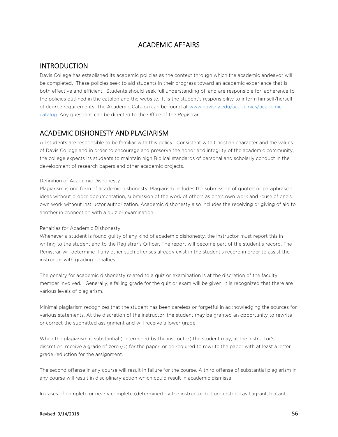# ACADEMIC AFFAIRS

#### **INTRODUCTION**

Davis College has established its academic policies as the context through which the academic endeavor will be completed. These policies seek to aid students in their progress toward an academic experience that is both effective and efficient. Students should seek full understanding of, and are responsible for, adherence to the policies outlined in the catalog and the website. It is the student's responsibility to inform himself/herself of degree requirements. The Academic Catalog can be found at www.davisny.edu/academics/academiccatalog. Any questions can be directed to the Office of the Registrar.

# ACADEMIC DISHONESTY AND PLAGIARISM

All students are responsible to be familiar with this policy. Consistent with Christian character and the values of Davis College and in order to encourage and preserve the honor and integrity of the academic community, the college expects its students to maintain high Biblical standards of personal and scholarly conduct in the development of research papers and other academic projects.

#### Definition of Academic Dishonesty

Plagiarism is one form of academic dishonesty. Plagiarism includes the submission of quoted or paraphrased ideas without proper documentation, submission of the work of others as one's own work and reuse of one's own work without instructor authorization. Academic dishonesty also includes the receiving or giving of aid to another in connection with a quiz or examination.

#### Penalties for Academic Dishonesty

Whenever a student is found guilty of any kind of academic dishonesty, the instructor must report this in writing to the student and to the Registrar's Officer. The report will become part of the student's record. The Registrar will determine if any other such offenses already exist in the student's record in order to assist the instructor with grading penalties.

The penalty for academic dishonesty related to a quiz or examination is at the discretion of the faculty member involved. Generally, a failing grade for the quiz or exam will be given. It is recognized that there are various levels of plagiarism.

Minimal plagiarism recognizes that the student has been careless or forgetful in acknowledging the sources for various statements. At the discretion of the instructor, the student may be granted an opportunity to rewrite or correct the submitted assignment and will receive a lower grade.

When the plagiarism is substantial (determined by the instructor) the student may, at the instructor's discretion, receive a grade of zero (0) for the paper, or be required to rewrite the paper with at least a letter grade reduction for the assignment.

The second offense in any course will result in failure for the course. A third offense of substantial plagiarism in any course will result in disciplinary action which could result in academic dismissal.

In cases of complete or nearly complete (determined by the instructor but understood as flagrant, blatant,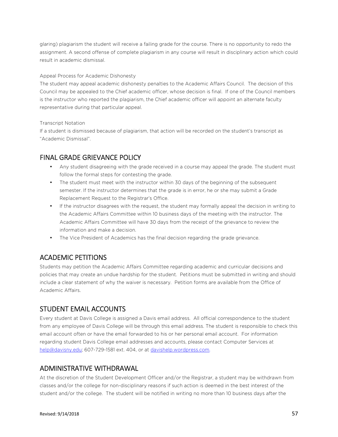glaring) plagiarism the student will receive a failing grade for the course. There is no opportunity to redo the assignment. A second offense of complete plagiarism in any course will result in disciplinary action which could result in academic dismissal.

#### Appeal Process for Academic Dishonesty

The student may appeal academic dishonesty penalties to the Academic Affairs Council. The decision of this Council may be appealed to the Chief academic officer, whose decision is final. If one of the Council members is the instructor who reported the plagiarism, the Chief academic officer will appoint an alternate faculty representative during that particular appeal.

#### Transcript Notation

If a student is dismissed because of plagiarism, that action will be recorded on the student's transcript as "Academic Dismissal".

### FINAL GRADE GRIEVANCE POLICY

- Any student disagreeing with the grade received in a course may appeal the grade. The student must follow the formal steps for contesting the grade.
- The student must meet with the instructor within 30 days of the beginning of the subsequent semester. If the instructor determines that the grade is in error, he or she may submit a Grade Replacement Request to the Registrar's Office.
- If the instructor disagrees with the request, the student may formally appeal the decision in writing to the Academic Affairs Committee within 10 business days of the meeting with the instructor. The Academic Affairs Committee will have 30 days from the receipt of the grievance to review the information and make a decision.
- The Vice President of Academics has the final decision regarding the grade grievance.

### ACADEMIC PETITIONS

Students may petition the Academic Affairs Committee regarding academic and curricular decisions and policies that may create an undue hardship for the student. Petitions must be submitted in writing and should include a clear statement of why the waiver is necessary. Petition forms are available from the Office of Academic Affairs.

### STUDENT EMAIL ACCOUNTS

Every student at Davis College is assigned a Davis email address. All official correspondence to the student from any employee of Davis College will be through this email address. The student is responsible to check this email account often or have the email forwarded to his or her personal email account. For information regarding student Davis College email addresses and accounts, please contact Computer Services at help@davisny.edu; 607-729-1581 ext. 404, or at davishelp.wordpress.com.

#### ADMINISTRATIVE WITHDRAWAL

At the discretion of the Student Development Officer and/or the Registrar, a student may be withdrawn from classes and/or the college for non-disciplinary reasons if such action is deemed in the best interest of the student and/or the college. The student will be notified in writing no more than 10 business days after the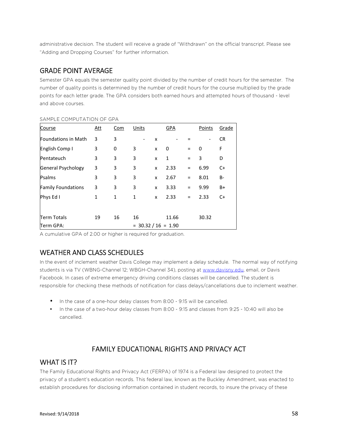administrative decision. The student will receive a grade of "Withdrawn" on the official transcript. Please see "Adding and Dropping Courses" for further information.

### GRADE POINT AVERAGE

Semester GPA equals the semester quality point divided by the number of credit hours for the semester. The number of quality points is determined by the number of credit hours for the course multiplied by the grade points for each letter grade. The GPA considers both earned hours and attempted hours of thousand - level and above courses.

| Course                     | <u>Att</u>   | <u>Com</u> | Units                 |   | GPA   |          | Points | Grade     |
|----------------------------|--------------|------------|-----------------------|---|-------|----------|--------|-----------|
| <b>Foundations in Math</b> | 3            | 3          |                       | X |       |          |        | <b>CR</b> |
| English Comp I             | 3            | 0          | 3                     | x | 0     | $=$      | 0      | F         |
| Pentateuch                 | 3            | 3          | 3                     | x | 1     | $=$      | 3      | D         |
| General Psychology         | 3            | 3          | 3                     | x | 2.33  | $\equiv$ | 6.99   | C+        |
| Psalms                     | 3            | 3          | 3                     | x | 2.67  | Ξ        | 8.01   | B-        |
| <b>Family Foundations</b>  | 3            | 3          | 3                     | x | 3.33  | Ξ        | 9.99   | B+        |
| Phys Ed I                  | $\mathbf{1}$ | 1          | 1                     | x | 2.33  | Ξ        | 2.33   | $C+$      |
|                            |              |            |                       |   |       |          |        |           |
| <b>Term Totals</b>         | 19           | 16         | 16                    |   | 11.66 |          | 30.32  |           |
| Term GPA:                  |              |            | $= 30.32 / 16 = 1.90$ |   |       |          |        |           |

#### SAMPLE COMPUTATION OF GPA

A cumulative GPA of 2.00 or higher is required for graduation.

### WEATHER AND CLASS SCHEDULES

In the event of inclement weather Davis College may implement a delay schedule. The normal way of notifying students is via TV (WBNG-Channel 12; WBGH-Channel 34), posting at www.davisny.edu, email, or Davis Facebook. In cases of extreme emergency driving conditions classes will be cancelled. The student is responsible for checking these methods of notification for class delays/cancellations due to inclement weather.

- In the case of a one-hour delay classes from 8:00 9:15 will be cancelled.
- In the case of a two-hour delay classes from 8:00 9:15 and classes from 9:25 10:40 will also be cancelled.

### FAMILY EDUCATIONAL RIGHTS AND PRIVACY ACT

#### WHAT IS **IT?**

The Family Educational Rights and Privacy Act (FERPA) of 1974 is a Federal law designed to protect the privacy of a student's education records. This federal law, known as the Buckley Amendment, was enacted to establish procedures for disclosing information contained in student records, to insure the privacy of these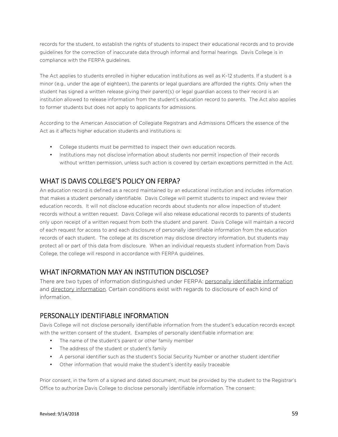records for the student, to establish the rights of students to inspect their educational records and to provide guidelines for the correction of inaccurate data through informal and formal hearings. Davis College is in compliance with the FERPA guidelines.

The Act applies to students enrolled in higher education institutions as well as K–12 students. If a student is a minor (e.g., under the age of eighteen), the parents or legal guardians are afforded the rights. Only when the student has signed a written release giving their parent(s) or legal guardian access to their record is an institution allowed to release information from the student's education record to parents. The Act also applies to former students but does not apply to applicants for admissions.

According to the American Association of Collegiate Registrars and Admissions Officers the essence of the Act as it affects higher education students and institutions is:

- College students must be permitted to inspect their own education records.
- Institutions may not disclose information about students nor permit inspection of their records without written permission, unless such action is covered by certain exceptions permitted in the Act.

# WHAT IS DAVIS COLLEGE'S POLICY ON FERPA?

An education record is defined as a record maintained by an educational institution and includes information that makes a student personally identifiable. Davis College will permit students to inspect and review their education records. It will not disclose education records about students nor allow inspection of student records without a written request. Davis College will also release educational records to parents of students only upon receipt of a written request from both the student and parent. Davis College will maintain a record of each request for access to and each disclosure of personally identifiable information from the education records of each student. The college at its discretion may disclose directory information, but students may protect all or part of this data from disclosure. When an individual requests student information from Davis College, the college will respond in accordance with FERPA guidelines.

### WHAT INFORMATION MAY AN INSTITUTION DISCLOSE?

There are two types of information distinguished under FERPA: personally identifiable information and directory information. Certain conditions exist with regards to disclosure of each kind of information.

#### PERSONALLY IDENTIFIABLE INFORMATION

Davis College will not disclose personally identifiable information from the student's education records except with the written consent of the student. Examples of personally identifiable information are:

- The name of the student's parent or other family member
- The address of the student or student's family
- A personal identifier such as the student's Social Security Number or another student identifier
- Other information that would make the student's identity easily traceable

Prior consent, in the form of a signed and dated document, must be provided by the student to the Registrar's Office to authorize Davis College to disclose personally identifiable information. The consent: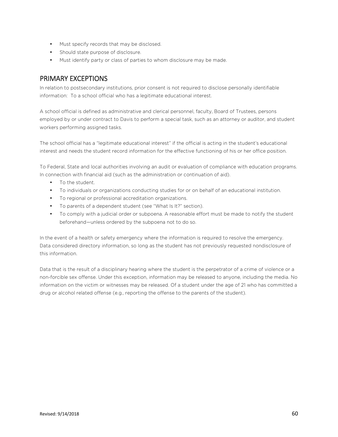- Must specify records that may be disclosed.
- Should state purpose of disclosure.
- Must identify party or class of parties to whom disclosure may be made.

### PRIMARY EXCEPTIONS

In relation to postsecondary institutions, prior consent is not required to disclose personally identifiable information: To a school official who has a legitimate educational interest.

A school official is defined as administrative and clerical personnel, faculty, Board of Trustees, persons employed by or under contract to Davis to perform a special task, such as an attorney or auditor, and student workers performing assigned tasks.

The school official has a "legitimate educational interest" if the official is acting in the student's educational interest and needs the student record information for the effective functioning of his or her office position.

To Federal, State and local authorities involving an audit or evaluation of compliance with education programs. In connection with financial aid (such as the administration or continuation of aid).

- To the student.
- To individuals or organizations conducting studies for or on behalf of an educational institution.
- To regional or professional accreditation organizations.
- To parents of a dependent student (see "What Is It?" section).
- To comply with a judicial order or subpoena. A reasonable effort must be made to notify the student beforehand—unless ordered by the subpoena not to do so.

In the event of a health or safety emergency where the information is required to resolve the emergency. Data considered directory information, so long as the student has not previously requested nondisclosure of this information.

Data that is the result of a disciplinary hearing where the student is the perpetrator of a crime of violence or a non-forcible sex offense. Under this exception, information may be released to anyone, including the media. No information on the victim or witnesses may be released. Of a student under the age of 21 who has committed a drug or alcohol related offense (e.g., reporting the offense to the parents of the student).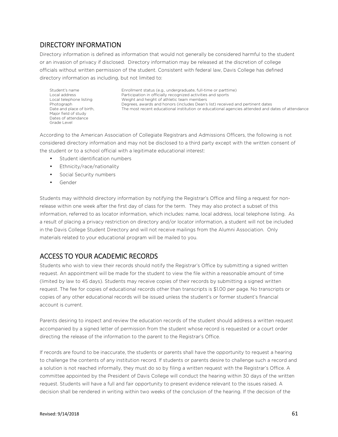# DIRECTORY INFORMATION

Directory information is defined as information that would not generally be considered harmful to the student or an invasion of privacy if disclosed. Directory information may be released at the discretion of college officials without written permission of the student. Consistent with federal law, Davis College has defined directory information as including, but not limited to:

Student's name Local address Local telephone listing Photograph Date and place of birth, Major field of study Dates of attendance Grade Level

Enrollment status (e.g., undergraduate, full-time or parttime) Participation in officially recognized activities and sports Weight and height of athletic team members Degrees, awards and honors (includes Dean's list) received and pertinent dates The most recent educational institution or educational agencies attended and dates of attendance

According to the American Association of Collegiate Registrars and Admissions Officers, the following is not considered directory information and may not be disclosed to a third party except with the written consent of the student or to a school official with a legitimate educational interest:

- Student identification numbers
- Ethnicity/race/nationality
- Social Security numbers
- Gender

Students may withhold directory information by notifying the Registrar's Office and filing a request for nonrelease within one week after the first day of class for the term. They may also protect a subset of this information, referred to as locator information, which includes: name, local address, local telephone listing. As a result of placing a privacy restriction on directory and/or locator information, a student will not be included in the Davis College Student Directory and will not receive mailings from the Alumni Association. Only materials related to your educational program will be mailed to you.

# ACCESS TO YOUR ACADEMIC RECORDS

Students who wish to view their records should notify the Registrar's Office by submitting a signed written request. An appointment will be made for the student to view the file within a reasonable amount of time (limited by law to 45 days). Students may receive copies of their records by submitting a signed written request. The fee for copies of educational records other than transcripts is \$1.00 per page. No transcripts or copies of any other educational records will be issued unless the student's or former student's financial account is current.

Parents desiring to inspect and review the education records of the student should address a written request accompanied by a signed letter of permission from the student whose record is requested or a court order directing the release of the information to the parent to the Registrar's Office.

If records are found to be inaccurate, the students or parents shall have the opportunity to request a hearing to challenge the contents of any institution record. If students or parents desire to challenge such a record and a solution is not reached informally, they must do so by filing a written request with the Registrar's Office. A committee appointed by the President of Davis College will conduct the hearing within 30 days of the written request. Students will have a full and fair opportunity to present evidence relevant to the issues raised. A decision shall be rendered in writing within two weeks of the conclusion of the hearing. If the decision of the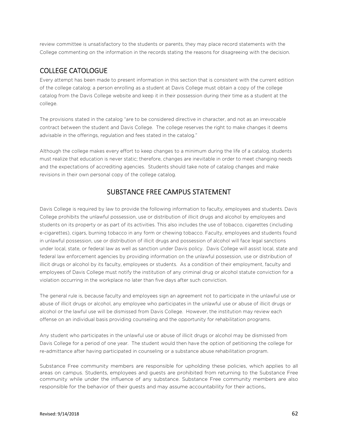review committee is unsatisfactory to the students or parents, they may place record statements with the College commenting on the information in the records stating the reasons for disagreeing with the decision.

#### COLLEGE CATOLOGUE

Every attempt has been made to present information in this section that is consistent with the current edition of the college catalog; a person enrolling as a student at Davis College must obtain a copy of the college catalog from the Davis College website and keep it in their possession during their time as a student at the college.

The provisions stated in the catalog "are to be considered directive in character, and not as an irrevocable contract between the student and Davis College. The college reserves the right to make changes it deems advisable in the offerings, regulation and fees stated in the catalog."

Although the college makes every effort to keep changes to a minimum during the life of a catalog, students must realize that education is never static; therefore, changes are inevitable in order to meet changing needs and the expectations of accrediting agencies. Students should take note of catalog changes and make revisions in their own personal copy of the college catalog.

# SUBSTANCE FREE CAMPUS STATEMENT

Davis College is required by law to provide the following information to faculty, employees and students. Davis College prohibits the unlawful possession, use or distribution of illicit drugs and alcohol by employees and students on its property or as part of its activities. This also includes the use of tobacco, cigarettes (including e-cigarettes), cigars, burning tobacco in any form or chewing tobacco. Faculty, employees and students found in unlawful possession, use or distribution of illicit drugs and possession of alcohol will face legal sanctions under local, state, or federal law as well as sanction under Davis policy. Davis College will assist local, state and federal law enforcement agencies by providing information on the unlawful possession, use or distribution of illicit drugs or alcohol by its faculty, employees or students. As a condition of their employment, faculty and employees of Davis College must notify the institution of any criminal drug or alcohol statute conviction for a violation occurring in the workplace no later than five days after such conviction.

The general rule is, because faculty and employees sign an agreement not to participate in the unlawful use or abuse of illicit drugs or alcohol, any employee who participates in the unlawful use or abuse of illicit drugs or alcohol or the lawful use will be dismissed from Davis College. However, the institution may review each offense on an individual basis providing counseling and the opportunity for rehabilitation programs.

Any student who participates in the unlawful use or abuse of illicit drugs or alcohol may be dismissed from Davis College for a period of one year. The student would then have the option of petitioning the college for re-admittance after having participated in counseling or a substance abuse rehabilitation program.

Substance Free community members are responsible for upholding these policies, which applies to all areas on campus. Students, employees and guests are prohibited from returning to the Substance Free community while under the influence of any substance. Substance Free community members are also responsible for the behavior of their guests and may assume accountability for their actions.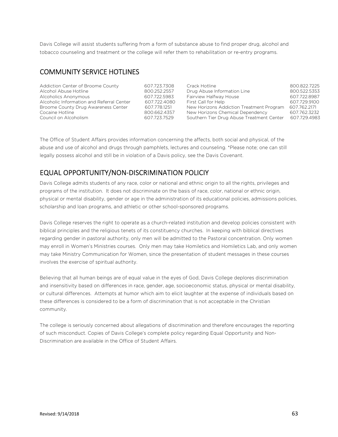Davis College will assist students suffering from a form of substance abuse to find proper drug, alcohol and tobacco counseling and treatment or the college will refer them to rehabilitation or re-entry programs.

#### COMMUNITY SERVICE HOTLINES

| Addiction Center of Broome County         | 607.723.7308 | Crack Hotline                             | 800.822.7225 |
|-------------------------------------------|--------------|-------------------------------------------|--------------|
| Alcohol Abuse Hotline                     | 800.252.2557 | Drug Abuse Information Line               | 800.522.5353 |
| Alcoholics Anonymous                      | 607.722.5983 | Fairview Halfway House                    | 607.722.8987 |
| Alcoholic Information and Referral Center | 607.722.4080 | First Call for Help                       | 607.729.9100 |
| Broome County Drug Awareness Center       | 607.778.1251 | New Horizons Addiction Treatment Program  | 607.762.2171 |
| Cocaine Hotline                           | 800.662.4357 | New Horizons Chemical Dependency          | 607.762.3232 |
| Council on Alcoholism                     | 607.723.7529 | Southern Tier Drug Abuse Treatment Center | 607.729.4983 |

The Office of Student Affairs provides information concerning the affects, both social and physical, of the abuse and use of alcohol and drugs through pamphlets, lectures and counseling. \*Please note; one can still legally possess alcohol and still be in violation of a Davis policy, see the Davis Covenant.

#### EQUAL OPPORTUNITY/NON-DISCRIMINATION POLICIY

Davis College admits students of any race, color or national and ethnic origin to all the rights, privileges and programs of the institution. It does not discriminate on the basis of race, color, national or ethnic origin, physical or mental disability, gender or age in the administration of its educational policies, admissions policies, scholarship and loan programs, and athletic or other school-sponsored programs.

Davis College reserves the right to operate as a church-related institution and develop policies consistent with biblical principles and the religious tenets of its constituency churches. In keeping with biblical directives regarding gender in pastoral authority, only men will be admitted to the Pastoral concentration. Only women may enroll in Women's Ministries courses. Only men may take Homiletics and Homiletics Lab, and only women may take Ministry Communication for Women, since the presentation of student messages in these courses involves the exercise of spiritual authority.

Believing that all human beings are of equal value in the eyes of God, Davis College deplores discrimination and insensitivity based on differences in race, gender, age, socioeconomic status, physical or mental disability, or cultural differences. Attempts at humor which aim to elicit laughter at the expense of individuals based on these differences is considered to be a form of discrimination that is not acceptable in the Christian community.

The college is seriously concerned about allegations of discrimination and therefore encourages the reporting of such misconduct. Copies of Davis College's complete policy regarding Equal Opportunity and Non-Discrimination are available in the Office of Student Affairs.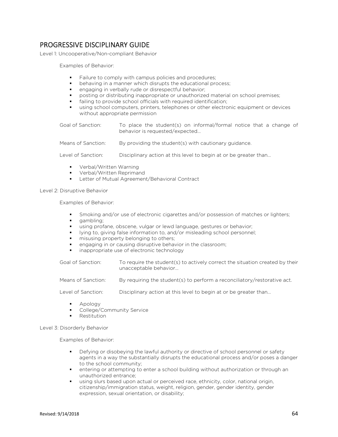# PROGRESSIVE DISCIPLINARY GUIDE

Level 1: Uncooperative/Non-compliant Behavior

Examples of Behavior:

- Failure to comply with campus policies and procedures;
- behaving in a manner which disrupts the educational process;
- engaging in verbally rude or disrespectful behavior;
- posting or distributing inappropriate or unauthorized material on school premises;
- failing to provide school officials with required identification;
- using school computers, printers, telephones or other electronic equipment or devices without appropriate permission

| Goal of Sanction: | To place the student(s) on informal/formal notice that a change of |
|-------------------|--------------------------------------------------------------------|
|                   | behavior is requested/expected                                     |
|                   |                                                                    |

Means of Sanction: By providing the student(s) with cautionary guidance.

Level of Sanction: Disciplinary action at this level to begin at or be greater than...

- **•** Verbal/Written Warning
- Verbal/Written Reprimand
- **Letter of Mutual Agreement/Behavioral Contract**

Level 2: Disruptive Behavior

Examples of Behavior:

- Smoking and/or use of electronic cigarettes and/or possession of matches or lighters;
- gambling;
- using profane, obscene, vulgar or lewd language, gestures or behavior;
- lying to, giving false information to, and/or misleading school personnel;
- misusing property belonging to others;
- engaging in or causing disruptive behavior in the classroom;
- inappropriate use of electronic technology

Goal of Sanction: To require the student(s) to actively correct the situation created by their unacceptable behavior…

Means of Sanction: By requiring the student(s) to perform a reconciliatory/restorative act.

Level of Sanction: Disciplinary action at this level to begin at or be greater than...

- Apology
- College/Community Service
- Restitution

Level 3: Disorderly Behavior

Examples of Behavior:

- **Defying or disobeying the lawful authority or directive of school personnel or safety** agents in a way the substantially disrupts the educational process and/or poses a danger to the school community;
- entering or attempting to enter a school building without authorization or through an unauthorized entrance;
- using slurs based upon actual or perceived race, ethnicity, color, national origin, citizenship/immigration status, weight, religion, gender, gender identity, gender expression, sexual orientation, or disability;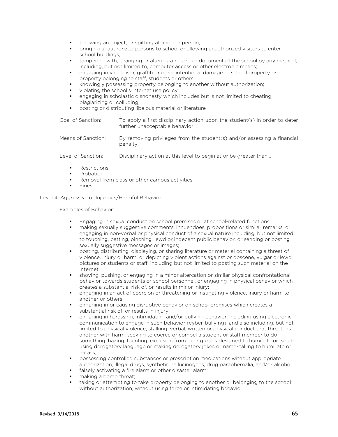- throwing an object, or spitting at another person;
- bringing unauthorized persons to school or allowing unauthorized visitors to enter school buildings;
- **that** tampering with, changing or altering a record or document of the school by any method, including, but not limited to, computer access or other electronic means;
- engaging in vandalism, graffiti or other intentional damage to school property or property belonging to staff, students or others;
- knowingly possessing property belonging to another without authorization;
- violating the school's internet use policy;
- engaging in scholastic dishonesty which includes but is not limited to cheating, plagiarizing or colluding;
- posting or distributing libelous material or literature

| Goal of Sanction: | To apply a first disciplinary action upon the student(s) in order to deter |
|-------------------|----------------------------------------------------------------------------|
|                   | further unacceptable behavior                                              |

| Means of Sanction: | By removing privileges from the student(s) and/or assessing a financial |  |
|--------------------|-------------------------------------------------------------------------|--|
|                    | penalty.                                                                |  |

Level of Sanction: Disciplinary action at this level to begin at or be greater than...

- Restrictions
- Probation
- Removal from class or other campus activities
- Fines

Level 4: Aggressive or Injurious/Harmful Behavior

Examples of Behavior:

- Engaging in sexual conduct on school premises or at school-related functions;
- making sexually suggestive comments, innuendoes, propositions or similar remarks, or engaging in non-verbal or physical conduct of a sexual nature including, but not limited to touching, patting, pinching, lewd or indecent public behavior, or sending or posting sexually suggestive messages or images;
- posting, distributing, displaying, or sharing literature or material containing a threat of violence, injury or harm, or depicting violent actions against or obscene, vulgar or lewd pictures or students or staff, including but not limited to posting such material on the internet;
- shoving, pushing, or engaging in a minor altercation or similar physical confrontational behavior towards students or school personnel, or engaging in physical behavior which creates a substantial risk of, or results in minor injury;
- engaging in an act of coercion or threatening or instigating violence, injury or harm to another or others;
- engaging in or causing disruptive behavior on school premises which creates a substantial risk of, or results in injury;
- engaging in harassing, intimidating and/or bullying behavior, including using electronic communication to engage in such behavior (cyber-bullying), and also including, but not limited to physical violence, stalking, verbal, written or physical conduct that threatens another with harm, seeking to coerce or compel a student or staff member to do something, hazing, taunting, exclusion from peer groups designed to humiliate or isolate, using derogatory language or making derogatory jokes or name-calling to humiliate or harass;
- possessing controlled substances or prescription medications without appropriate authorization, illegal drugs, synthetic hallucinogens, drug paraphernalia, and/or alcohol;
- falsely activating a fire alarm or other disaster alarm;
- making a bomb threat;
- taking or attempting to take property belonging to another or belonging to the school without authorization, without using force or intimidating behavior;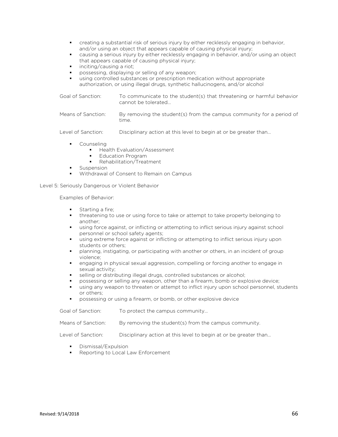- creating a substantial risk of serious injury by either recklessly engaging in behavior, and/or using an object that appears capable of causing physical injury;
- causing a serious injury by either recklessly engaging in behavior, and/or using an object that appears capable of causing physical injury;
- inciting/causing a riot;
- possessing, displaying or selling of any weapon;
- using controlled substances or prescription medication without appropriate authorization, or using illegal drugs, synthetic hallucinogens, and/or alcohol

Goal of Sanction: To communicate to the student(s) that threatening or harmful behavior cannot be tolerated…

Means of Sanction: By removing the student(s) from the campus community for a period of time.

Level of Sanction: Disciplinary action at this level to begin at or be greater than...

- **Counseling** 
	- Health Evaluation/Assessment
	- Education Program
	- Rehabilitation/Treatment
- Suspension
- Withdrawal of Consent to Remain on Campus

Level 5: Seriously Dangerous or Violent Behavior

Examples of Behavior:

- Starting a fire;
- threatening to use or using force to take or attempt to take property belonging to another;
- using force against, or inflicting or attempting to inflict serious injury against school personnel or school safety agents;
- using extreme force against or inflicting or attempting to inflict serious injury upon students or others;
- **Phanning, instigating, or participating with another or others, in an incident of group** violence;
- engaging in physical sexual aggression, compelling or forcing another to engage in sexual activity;
- selling or distributing illegal drugs, controlled substances or alcohol;
- possessing or selling any weapon, other than a firearm, bomb or explosive device;
- using any weapon to threaten or attempt to inflict injury upon school personnel, students or others;
- possessing or using a firearm, or bomb, or other explosive device

| Goal of Sanction:  | To protect the campus community                                  |
|--------------------|------------------------------------------------------------------|
| Means of Sanction: | By removing the student(s) from the campus community.            |
| Level of Sanction: | Disciplinary action at this level to begin at or be greater than |

- Dismissal/Expulsion
- Reporting to Local Law Enforcement